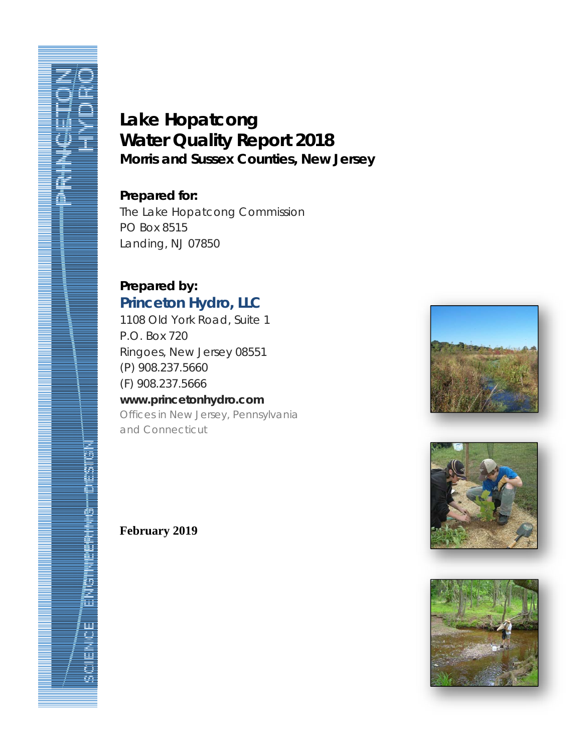# **Lake Hopatcong Water Quality Report 2018 Morris and Sussex Counties, New Jersey**

# **Prepared for:**

The Lake Hopatcong Commission PO Box 8515 Landing, NJ 07850

# **Prepared by: Princeton Hydro, LLC**

1108 Old York Road, Suite 1 P.O. Box 720 Ringoes, New Jersey 08551 (P) 908.237.5660 (F) 908.237.5666 **www.princetonhydro.com**  *Offices in New Jersey, Pennsylvania* 

*and Connecticut*







i<br>S U i ទី

# **February 2019**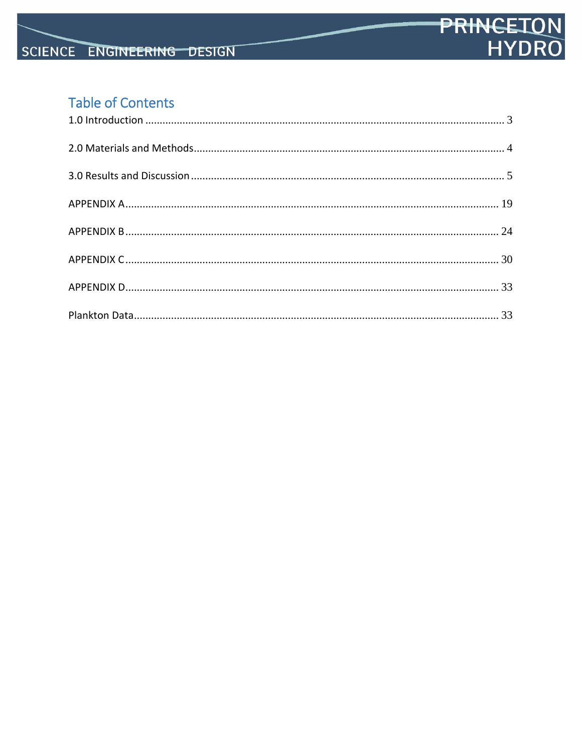# **Table of Contents**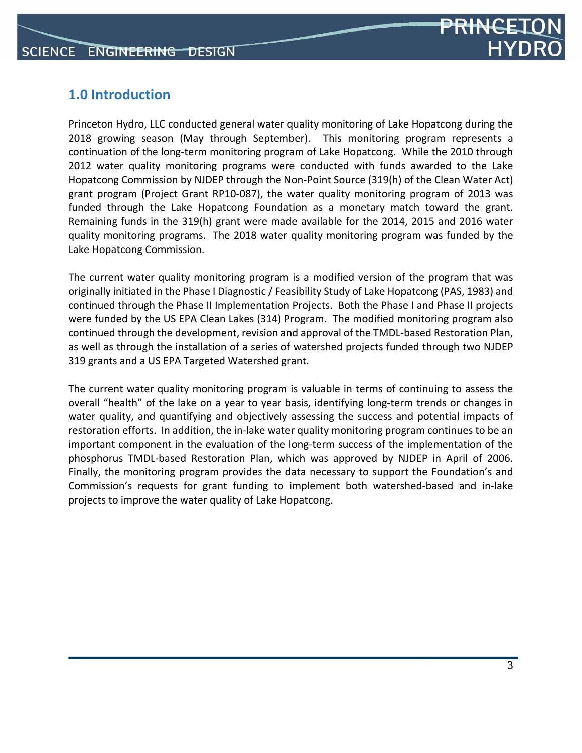

# **1.0 Introduction**

Princeton Hydro, LLC conducted general water quality monitoring of Lake Hopatcong during the 2018 growing season (May through September). This monitoring program represents a continuation of the long‐term monitoring program of Lake Hopatcong. While the 2010 through 2012 water quality monitoring programs were conducted with funds awarded to the Lake Hopatcong Commission by NJDEP through the Non‐Point Source (319(h) of the Clean Water Act) grant program (Project Grant RP10‐087), the water quality monitoring program of 2013 was funded through the Lake Hopatcong Foundation as a monetary match toward the grant. Remaining funds in the 319(h) grant were made available for the 2014, 2015 and 2016 water quality monitoring programs. The 2018 water quality monitoring program was funded by the Lake Hopatcong Commission.

The current water quality monitoring program is a modified version of the program that was originally initiated in the Phase I Diagnostic / Feasibility Study of Lake Hopatcong (PAS, 1983) and continued through the Phase II Implementation Projects. Both the Phase I and Phase II projects were funded by the US EPA Clean Lakes (314) Program. The modified monitoring program also continued through the development, revision and approval of the TMDL‐based Restoration Plan, as well as through the installation of a series of watershed projects funded through two NJDEP 319 grants and a US EPA Targeted Watershed grant.

The current water quality monitoring program is valuable in terms of continuing to assess the overall "health" of the lake on a year to year basis, identifying long-term trends or changes in water quality, and quantifying and objectively assessing the success and potential impacts of restoration efforts. In addition, the in‐lake water quality monitoring program continues to be an important component in the evaluation of the long-term success of the implementation of the phosphorus TMDL‐based Restoration Plan, which was approved by NJDEP in April of 2006. Finally, the monitoring program provides the data necessary to support the Foundation's and Commission's requests for grant funding to implement both watershed‐based and in‐lake projects to improve the water quality of Lake Hopatcong.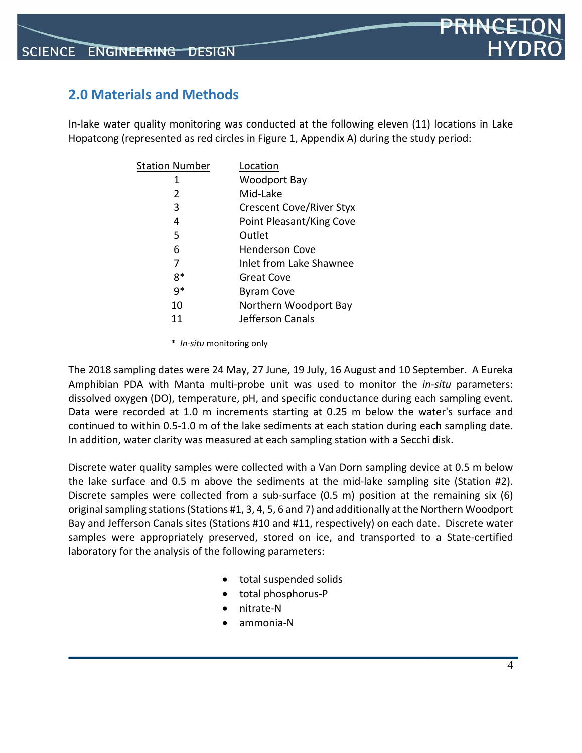# PR<del>INCE</del>

# **2.0 Materials and Methods**

In-lake water quality monitoring was conducted at the following eleven (11) locations in Lake Hopatcong (represented as red circles in Figure 1, Appendix A) during the study period:

| <b>Station Number</b> | Location                        |
|-----------------------|---------------------------------|
| 1                     | Woodport Bay                    |
| 2                     | Mid-Lake                        |
| 3                     | <b>Crescent Cove/River Styx</b> |
| 4                     | Point Pleasant/King Cove        |
| 5                     | Outlet                          |
| 6                     | <b>Henderson Cove</b>           |
| 7                     | Inlet from Lake Shawnee         |
| 8*                    | Great Cove                      |
| q*                    | <b>Byram Cove</b>               |
| 10                    | Northern Woodport Bay           |
| 11                    | Jefferson Canals                |
|                       |                                 |

\* *In‐situ* monitoring only

The 2018 sampling dates were 24 May, 27 June, 19 July, 16 August and 10 September. A Eureka Amphibian PDA with Manta multi‐probe unit was used to monitor the *in‐situ* parameters: dissolved oxygen (DO), temperature, pH, and specific conductance during each sampling event. Data were recorded at 1.0 m increments starting at 0.25 m below the water's surface and continued to within 0.5‐1.0 m of the lake sediments at each station during each sampling date. In addition, water clarity was measured at each sampling station with a Secchi disk.

Discrete water quality samples were collected with a Van Dorn sampling device at 0.5 m below the lake surface and 0.5 m above the sediments at the mid‐lake sampling site (Station #2). Discrete samples were collected from a sub-surface (0.5 m) position at the remaining six (6) original sampling stations (Stations #1, 3, 4, 5, 6 and 7) and additionally at the Northern Woodport Bay and Jefferson Canals sites (Stations #10 and #11, respectively) on each date. Discrete water samples were appropriately preserved, stored on ice, and transported to a State-certified laboratory for the analysis of the following parameters:

- total suspended solids
- total phosphorus‐P
- nitrate‐N
- ammonia‐N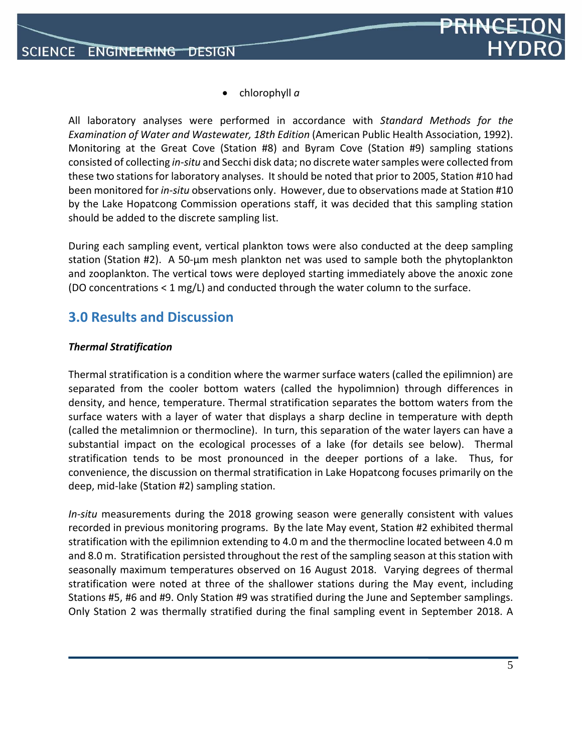

chlorophyll *a*

All laboratory analyses were performed in accordance with *Standard Methods for the Examination of Water and Wastewater, 18th Edition* (American Public Health Association, 1992). Monitoring at the Great Cove (Station #8) and Byram Cove (Station #9) sampling stations consisted of collecting *in‐situ* and Secchi disk data; no discrete watersamples were collected from these two stations for laboratory analyses. It should be noted that prior to 2005, Station #10 had been monitored for *in‐situ* observations only. However, due to observations made at Station #10 by the Lake Hopatcong Commission operations staff, it was decided that this sampling station should be added to the discrete sampling list.

During each sampling event, vertical plankton tows were also conducted at the deep sampling station (Station #2). A 50‐µm mesh plankton net was used to sample both the phytoplankton and zooplankton. The vertical tows were deployed starting immediately above the anoxic zone (DO concentrations < 1 mg/L) and conducted through the water column to the surface.

### **3.0 Results and Discussion**

#### *Thermal Stratification*

Thermal stratification is a condition where the warmer surface waters (called the epilimnion) are separated from the cooler bottom waters (called the hypolimnion) through differences in density, and hence, temperature. Thermal stratification separates the bottom waters from the surface waters with a layer of water that displays a sharp decline in temperature with depth (called the metalimnion or thermocline). In turn, this separation of the water layers can have a substantial impact on the ecological processes of a lake (for details see below). Thermal stratification tends to be most pronounced in the deeper portions of a lake. Thus, for convenience, the discussion on thermal stratification in Lake Hopatcong focuses primarily on the deep, mid‐lake (Station #2) sampling station.

*In‐situ* measurements during the 2018 growing season were generally consistent with values recorded in previous monitoring programs. By the late May event, Station #2 exhibited thermal stratification with the epilimnion extending to 4.0 m and the thermocline located between 4.0 m and 8.0 m. Stratification persisted throughout the rest of the sampling season at this station with seasonally maximum temperatures observed on 16 August 2018. Varying degrees of thermal stratification were noted at three of the shallower stations during the May event, including Stations #5, #6 and #9. Only Station #9 was stratified during the June and September samplings. Only Station 2 was thermally stratified during the final sampling event in September 2018. A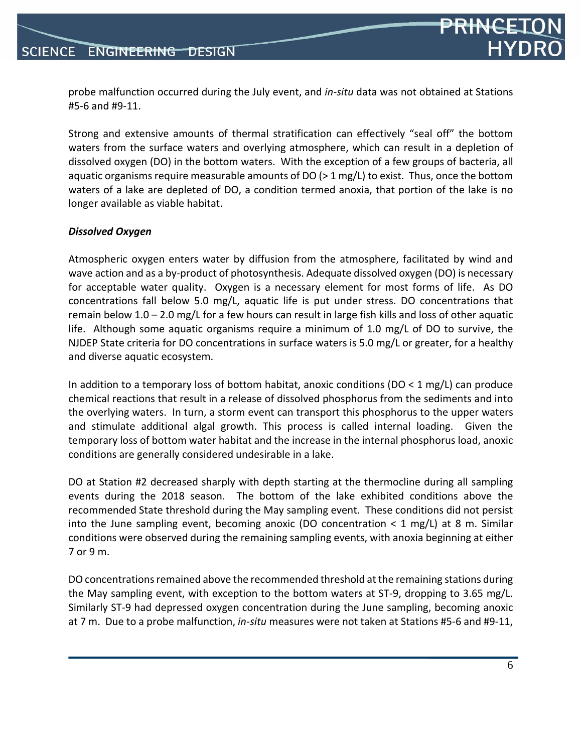probe malfunction occurred during the July event, and *in‐situ* data was not obtained at Stations #5‐6 and #9‐11.

Strong and extensive amounts of thermal stratification can effectively "seal off" the bottom waters from the surface waters and overlying atmosphere, which can result in a depletion of dissolved oxygen (DO) in the bottom waters. With the exception of a few groups of bacteria, all aquatic organisms require measurable amounts of DO ( $>$  1 mg/L) to exist. Thus, once the bottom waters of a lake are depleted of DO, a condition termed anoxia, that portion of the lake is no longer available as viable habitat.

#### *Dissolved Oxygen*

Atmospheric oxygen enters water by diffusion from the atmosphere, facilitated by wind and wave action and as a by-product of photosynthesis. Adequate dissolved oxygen (DO) is necessary for acceptable water quality. Oxygen is a necessary element for most forms of life. As DO concentrations fall below 5.0 mg/L, aquatic life is put under stress. DO concentrations that remain below 1.0 – 2.0 mg/L for a few hours can result in large fish kills and loss of other aquatic life. Although some aquatic organisms require a minimum of 1.0 mg/L of DO to survive, the NJDEP State criteria for DO concentrations in surface waters is 5.0 mg/L or greater, for a healthy and diverse aquatic ecosystem.

In addition to a temporary loss of bottom habitat, anoxic conditions ( $DO < 1$  mg/L) can produce chemical reactions that result in a release of dissolved phosphorus from the sediments and into the overlying waters. In turn, a storm event can transport this phosphorus to the upper waters and stimulate additional algal growth. This process is called internal loading. Given the temporary loss of bottom water habitat and the increase in the internal phosphorus load, anoxic conditions are generally considered undesirable in a lake.

DO at Station #2 decreased sharply with depth starting at the thermocline during all sampling events during the 2018 season. The bottom of the lake exhibited conditions above the recommended State threshold during the May sampling event. These conditions did not persist into the June sampling event, becoming anoxic (DO concentration  $\lt 1$  mg/L) at 8 m. Similar conditions were observed during the remaining sampling events, with anoxia beginning at either 7 or 9 m.

DO concentrations remained above the recommended threshold at the remaining stations during the May sampling event, with exception to the bottom waters at ST‐9, dropping to 3.65 mg/L. Similarly ST‐9 had depressed oxygen concentration during the June sampling, becoming anoxic at 7 m. Due to a probe malfunction, *in‐situ* measures were not taken at Stations #5‐6 and #9‐11,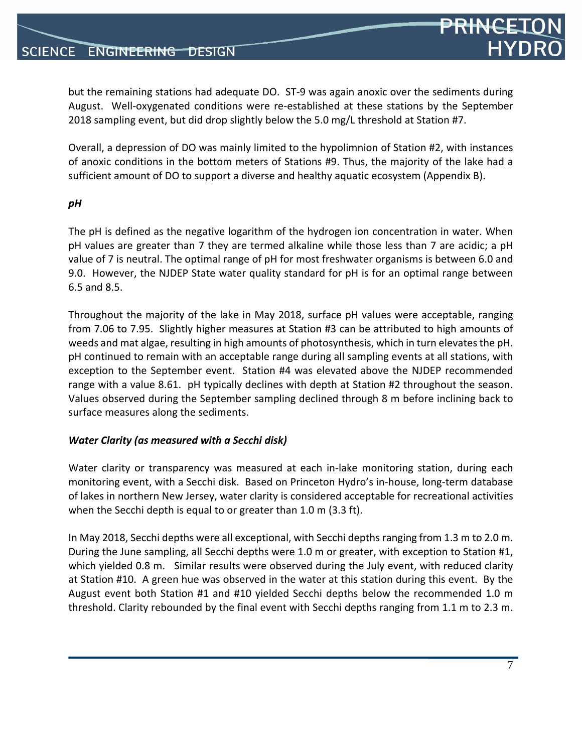but the remaining stations had adequate DO. ST-9 was again anoxic over the sediments during August. Well‐oxygenated conditions were re‐established at these stations by the September 2018 sampling event, but did drop slightly below the 5.0 mg/L threshold at Station #7.

Overall, a depression of DO was mainly limited to the hypolimnion of Station #2, with instances of anoxic conditions in the bottom meters of Stations #9. Thus, the majority of the lake had a sufficient amount of DO to support a diverse and healthy aquatic ecosystem (Appendix B).

#### *pH*

The pH is defined as the negative logarithm of the hydrogen ion concentration in water. When pH values are greater than 7 they are termed alkaline while those less than 7 are acidic; a pH value of 7 is neutral. The optimal range of pH for most freshwater organisms is between 6.0 and 9.0. However, the NJDEP State water quality standard for pH is for an optimal range between 6.5 and 8.5.

Throughout the majority of the lake in May 2018, surface pH values were acceptable, ranging from 7.06 to 7.95. Slightly higher measures at Station #3 can be attributed to high amounts of weeds and mat algae, resulting in high amounts of photosynthesis, which in turn elevatesthe pH. pH continued to remain with an acceptable range during all sampling events at all stations, with exception to the September event. Station #4 was elevated above the NJDEP recommended range with a value 8.61. pH typically declines with depth at Station #2 throughout the season. Values observed during the September sampling declined through 8 m before inclining back to surface measures along the sediments.

#### *Water Clarity (as measured with a Secchi disk)*

Water clarity or transparency was measured at each in-lake monitoring station, during each monitoring event, with a Secchi disk. Based on Princeton Hydro's in‐house, long‐term database of lakes in northern New Jersey, water clarity is considered acceptable for recreational activities when the Secchi depth is equal to or greater than 1.0 m (3.3 ft).

In May 2018, Secchi depths were all exceptional, with Secchi depths ranging from 1.3 m to 2.0 m. During the June sampling, all Secchi depths were 1.0 m or greater, with exception to Station #1, which yielded 0.8 m. Similar results were observed during the July event, with reduced clarity at Station #10. A green hue was observed in the water at this station during this event. By the August event both Station #1 and #10 yielded Secchi depths below the recommended 1.0 m threshold. Clarity rebounded by the final event with Secchi depths ranging from 1.1 m to 2.3 m.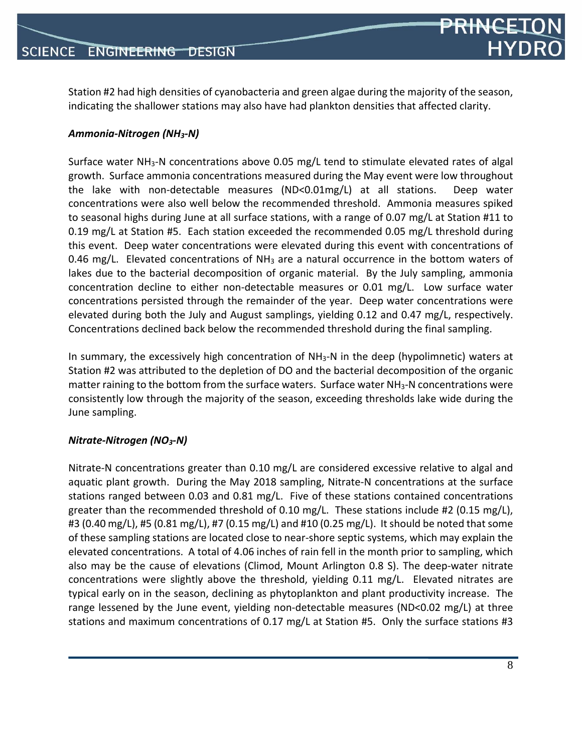**PRINCE** 

Station #2 had high densities of cyanobacteria and green algae during the majority of the season, indicating the shallower stations may also have had plankton densities that affected clarity.

#### *Ammonia‐Nitrogen (NH3‐N)*

Surface water NH<sub>3</sub>-N concentrations above 0.05 mg/L tend to stimulate elevated rates of algal growth. Surface ammonia concentrations measured during the May event were low throughout the lake with non‐detectable measures (ND<0.01mg/L) at all stations. Deep water concentrations were also well below the recommended threshold. Ammonia measures spiked to seasonal highs during June at all surface stations, with a range of 0.07 mg/L at Station #11 to 0.19 mg/L at Station #5. Each station exceeded the recommended 0.05 mg/L threshold during this event. Deep water concentrations were elevated during this event with concentrations of 0.46 mg/L. Elevated concentrations of  $NH<sub>3</sub>$  are a natural occurrence in the bottom waters of lakes due to the bacterial decomposition of organic material. By the July sampling, ammonia concentration decline to either non-detectable measures or 0.01 mg/L. Low surface water concentrations persisted through the remainder of the year. Deep water concentrations were elevated during both the July and August samplings, yielding 0.12 and 0.47 mg/L, respectively. Concentrations declined back below the recommended threshold during the final sampling.

In summary, the excessively high concentration of  $NH<sub>3</sub>-N$  in the deep (hypolimnetic) waters at Station #2 was attributed to the depletion of DO and the bacterial decomposition of the organic matter raining to the bottom from the surface waters. Surface water  $NH<sub>3</sub>$ -N concentrations were consistently low through the majority of the season, exceeding thresholds lake wide during the June sampling.

#### *Nitrate‐Nitrogen (NO3‐N)*

Nitrate‐N concentrations greater than 0.10 mg/L are considered excessive relative to algal and aquatic plant growth. During the May 2018 sampling, Nitrate‐N concentrations at the surface stations ranged between 0.03 and 0.81 mg/L. Five of these stations contained concentrations greater than the recommended threshold of 0.10 mg/L. These stations include #2 (0.15 mg/L), #3 (0.40 mg/L), #5 (0.81 mg/L), #7 (0.15 mg/L) and #10 (0.25 mg/L). It should be noted that some of these sampling stations are located close to near‐shore septic systems, which may explain the elevated concentrations. A total of 4.06 inches of rain fell in the month prior to sampling, which also may be the cause of elevations (Climod, Mount Arlington 0.8 S). The deep-water nitrate concentrations were slightly above the threshold, yielding 0.11 mg/L. Elevated nitrates are typical early on in the season, declining as phytoplankton and plant productivity increase. The range lessened by the June event, yielding non-detectable measures (ND<0.02 mg/L) at three stations and maximum concentrations of 0.17 mg/L at Station #5. Only the surface stations #3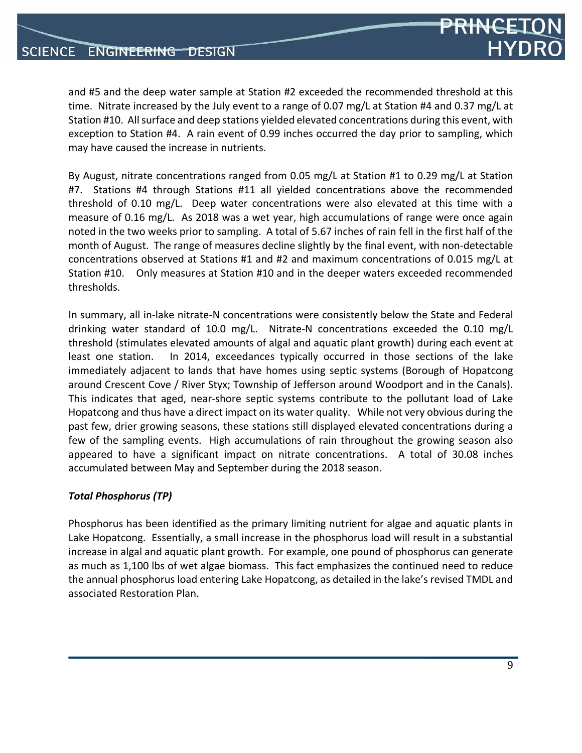and #5 and the deep water sample at Station #2 exceeded the recommended threshold at this time. Nitrate increased by the July event to a range of 0.07 mg/L at Station #4 and 0.37 mg/L at Station #10. All surface and deep stations yielded elevated concentrations during this event, with exception to Station #4. A rain event of 0.99 inches occurred the day prior to sampling, which may have caused the increase in nutrients.

By August, nitrate concentrations ranged from 0.05 mg/L at Station #1 to 0.29 mg/L at Station #7. Stations #4 through Stations #11 all yielded concentrations above the recommended threshold of 0.10 mg/L. Deep water concentrations were also elevated at this time with a measure of 0.16 mg/L. As 2018 was a wet year, high accumulations of range were once again noted in the two weeks prior to sampling. A total of 5.67 inches of rain fell in the first half of the month of August. The range of measures decline slightly by the final event, with non‐detectable concentrations observed at Stations #1 and #2 and maximum concentrations of 0.015 mg/L at Station #10. Only measures at Station #10 and in the deeper waters exceeded recommended thresholds.

In summary, all in‐lake nitrate‐N concentrations were consistently below the State and Federal drinking water standard of 10.0 mg/L. Nitrate-N concentrations exceeded the 0.10 mg/L threshold (stimulates elevated amounts of algal and aquatic plant growth) during each event at least one station. In 2014, exceedances typically occurred in those sections of the lake immediately adjacent to lands that have homes using septic systems (Borough of Hopatcong around Crescent Cove / River Styx; Township of Jefferson around Woodport and in the Canals). This indicates that aged, near‐shore septic systems contribute to the pollutant load of Lake Hopatcong and thus have a direct impact on its water quality. While not very obvious during the past few, drier growing seasons, these stations still displayed elevated concentrations during a few of the sampling events. High accumulations of rain throughout the growing season also appeared to have a significant impact on nitrate concentrations. A total of 30.08 inches accumulated between May and September during the 2018 season.

#### *Total Phosphorus (TP)*

Phosphorus has been identified as the primary limiting nutrient for algae and aquatic plants in Lake Hopatcong. Essentially, a small increase in the phosphorus load will result in a substantial increase in algal and aquatic plant growth. For example, one pound of phosphorus can generate as much as 1,100 lbs of wet algae biomass. This fact emphasizes the continued need to reduce the annual phosphorus load entering Lake Hopatcong, as detailed in the lake's revised TMDL and associated Restoration Plan.

PRINCET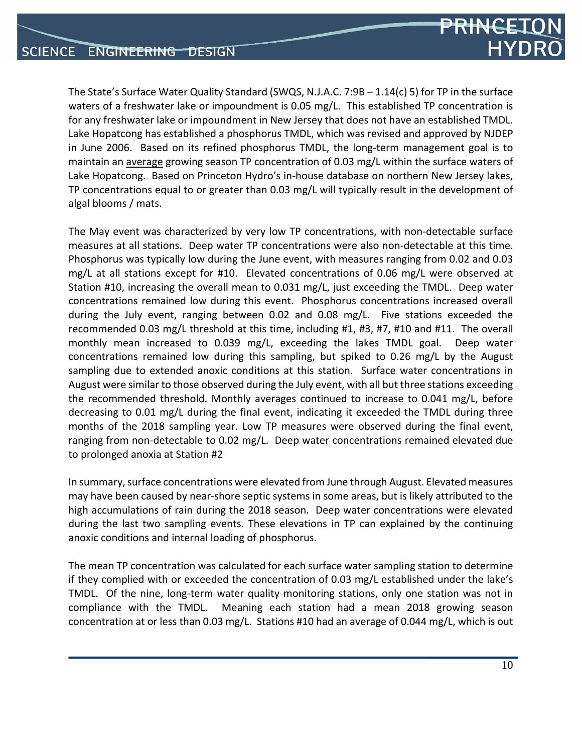The State's Surface Water Quality Standard (SWQS, N.J.A.C. 7:9B – 1.14(c) 5) for TP in the surface waters of a freshwater lake or impoundment is 0.05 mg/L. This established TP concentration is for any freshwater lake or impoundment in New Jersey that does not have an established TMDL. Lake Hopatcong has established a phosphorus TMDL, which was revised and approved by NJDEP in June 2006. Based on its refined phosphorus TMDL, the long‐term management goal is to maintain an average growing season TP concentration of 0.03 mg/L within the surface waters of Lake Hopatcong. Based on Princeton Hydro's in‐house database on northern New Jersey lakes, TP concentrations equal to or greater than 0.03 mg/L will typically result in the development of algal blooms / mats.

The May event was characterized by very low TP concentrations, with non‐detectable surface measures at all stations. Deep water TP concentrations were also non‐detectable at this time. Phosphorus was typically low during the June event, with measures ranging from 0.02 and 0.03 mg/L at all stations except for #10. Elevated concentrations of 0.06 mg/L were observed at Station #10, increasing the overall mean to 0.031 mg/L, just exceeding the TMDL. Deep water concentrations remained low during this event. Phosphorus concentrations increased overall during the July event, ranging between 0.02 and 0.08 mg/L. Five stations exceeded the recommended 0.03 mg/L threshold at this time, including #1, #3, #7, #10 and #11. The overall monthly mean increased to 0.039 mg/L, exceeding the lakes TMDL goal. Deep water concentrations remained low during this sampling, but spiked to 0.26 mg/L by the August sampling due to extended anoxic conditions at this station. Surface water concentrations in August were similar to those observed during the July event, with all but three stations exceeding the recommended threshold. Monthly averages continued to increase to 0.041 mg/L, before decreasing to 0.01 mg/L during the final event, indicating it exceeded the TMDL during three months of the 2018 sampling year. Low TP measures were observed during the final event, ranging from non-detectable to 0.02 mg/L. Deep water concentrations remained elevated due to prolonged anoxia at Station #2

In summary, surface concentrations were elevated from June through August. Elevated measures may have been caused by near‐shore septic systems in some areas, but is likely attributed to the high accumulations of rain during the 2018 season. Deep water concentrations were elevated during the last two sampling events. These elevations in TP can explained by the continuing anoxic conditions and internal loading of phosphorus.

The mean TP concentration was calculated for each surface water sampling station to determine if they complied with or exceeded the concentration of 0.03 mg/L established under the lake's TMDL. Of the nine, long-term water quality monitoring stations, only one station was not in compliance with the TMDL. Meaning each station had a mean 2018 growing season concentration at or less than 0.03 mg/L. Stations #10 had an average of 0.044 mg/L, which is out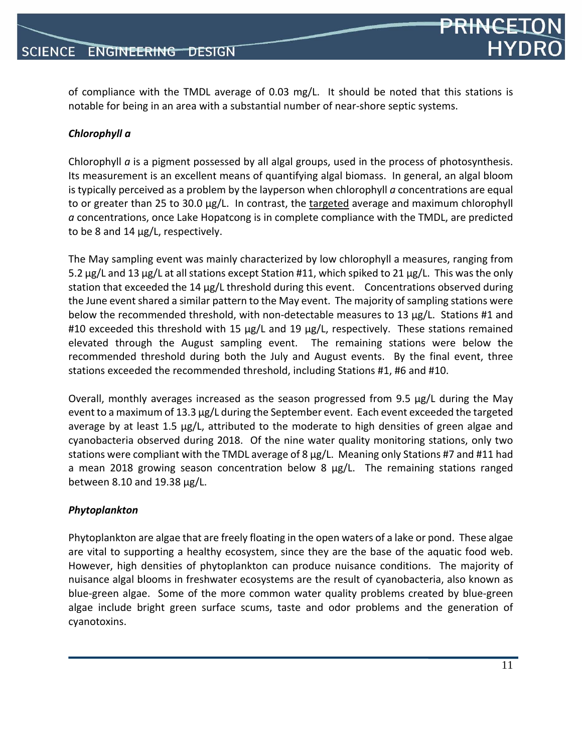of compliance with the TMDL average of 0.03 mg/L. It should be noted that this stations is notable for being in an area with a substantial number of near‐shore septic systems.

#### *Chlorophyll a*

Chlorophyll *a* is a pigment possessed by all algal groups, used in the process of photosynthesis. Its measurement is an excellent means of quantifying algal biomass. In general, an algal bloom is typically perceived as a problem by the layperson when chlorophyll *a* concentrations are equal to or greater than 25 to 30.0 µg/L. In contrast, the targeted average and maximum chlorophyll *a* concentrations, once Lake Hopatcong is in complete compliance with the TMDL, are predicted to be 8 and 14 µg/L, respectively.

The May sampling event was mainly characterized by low chlorophyll a measures, ranging from 5.2  $\mu$ g/L and 13  $\mu$ g/L at all stations except Station #11, which spiked to 21  $\mu$ g/L. This was the only station that exceeded the 14 µg/L threshold during this event. Concentrations observed during the June event shared a similar pattern to the May event. The majority of sampling stations were below the recommended threshold, with non-detectable measures to 13 µg/L. Stations #1 and #10 exceeded this threshold with 15 µg/L and 19 µg/L, respectively. These stations remained elevated through the August sampling event. The remaining stations were below the recommended threshold during both the July and August events. By the final event, three stations exceeded the recommended threshold, including Stations #1, #6 and #10.

Overall, monthly averages increased as the season progressed from 9.5 µg/L during the May event to a maximum of 13.3 µg/L during the September event. Each event exceeded the targeted average by at least 1.5  $\mu$ g/L, attributed to the moderate to high densities of green algae and cyanobacteria observed during 2018. Of the nine water quality monitoring stations, only two stations were compliant with the TMDL average of 8 µg/L. Meaning only Stations #7 and #11 had a mean 2018 growing season concentration below 8 µg/L. The remaining stations ranged between 8.10 and 19.38 µg/L.

#### *Phytoplankton*

Phytoplankton are algae that are freely floating in the open waters of a lake or pond. These algae are vital to supporting a healthy ecosystem, since they are the base of the aquatic food web. However, high densities of phytoplankton can produce nuisance conditions. The majority of nuisance algal blooms in freshwater ecosystems are the result of cyanobacteria, also known as blue‐green algae. Some of the more common water quality problems created by blue‐green algae include bright green surface scums, taste and odor problems and the generation of cyanotoxins.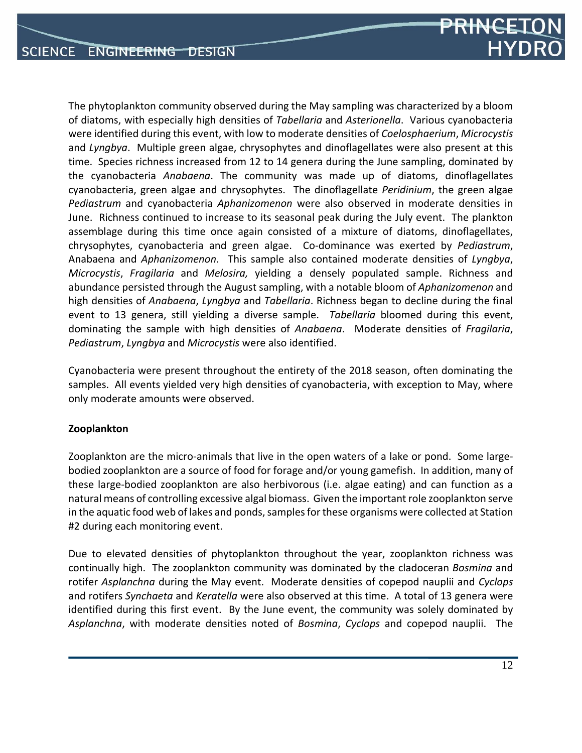

The phytoplankton community observed during the May sampling was characterized by a bloom of diatoms, with especially high densities of *Tabellaria* and *Asterionella*. Various cyanobacteria were identified during this event, with low to moderate densities of *Coelosphaerium*, *Microcystis* and *Lyngbya*. Multiple green algae, chrysophytes and dinoflagellates were also present at this time. Species richness increased from 12 to 14 genera during the June sampling, dominated by the cyanobacteria *Anabaena*. The community was made up of diatoms, dinoflagellates cyanobacteria, green algae and chrysophytes. The dinoflagellate *Peridinium*, the green algae *Pediastrum* and cyanobacteria *Aphanizomenon* were also observed in moderate densities in June. Richness continued to increase to its seasonal peak during the July event. The plankton assemblage during this time once again consisted of a mixture of diatoms, dinoflagellates, chrysophytes, cyanobacteria and green algae. Co‐dominance was exerted by *Pediastrum*, Anabaena and *Aphanizomenon*. This sample also contained moderate densities of *Lyngbya*, *Microcystis*, *Fragilaria* and *Melosira,* yielding a densely populated sample. Richness and abundance persisted through the August sampling, with a notable bloom of *Aphanizomenon* and high densities of *Anabaena*, *Lyngbya* and *Tabellaria*. Richness began to decline during the final event to 13 genera, still yielding a diverse sample. *Tabellaria* bloomed during this event, dominating the sample with high densities of *Anabaena*. Moderate densities of *Fragilaria*, *Pediastrum*, *Lyngbya* and *Microcystis* were also identified.

Cyanobacteria were present throughout the entirety of the 2018 season, often dominating the samples. All events yielded very high densities of cyanobacteria, with exception to May, where only moderate amounts were observed.

#### **Zooplankton**

Zooplankton are the micro-animals that live in the open waters of a lake or pond. Some largebodied zooplankton are a source of food for forage and/or young gamefish. In addition, many of these large‐bodied zooplankton are also herbivorous (i.e. algae eating) and can function as a natural means of controlling excessive algal biomass. Given the important role zooplankton serve in the aquatic food web of lakes and ponds, samples for these organisms were collected at Station #2 during each monitoring event.

Due to elevated densities of phytoplankton throughout the year, zooplankton richness was continually high. The zooplankton community was dominated by the cladoceran *Bosmina* and rotifer *Asplanchna* during the May event. Moderate densities of copepod nauplii and *Cyclops* and rotifers *Synchaeta* and *Keratella* were also observed at this time. A total of 13 genera were identified during this first event. By the June event, the community was solely dominated by *Asplanchna*, with moderate densities noted of *Bosmina*, *Cyclops* and copepod nauplii. The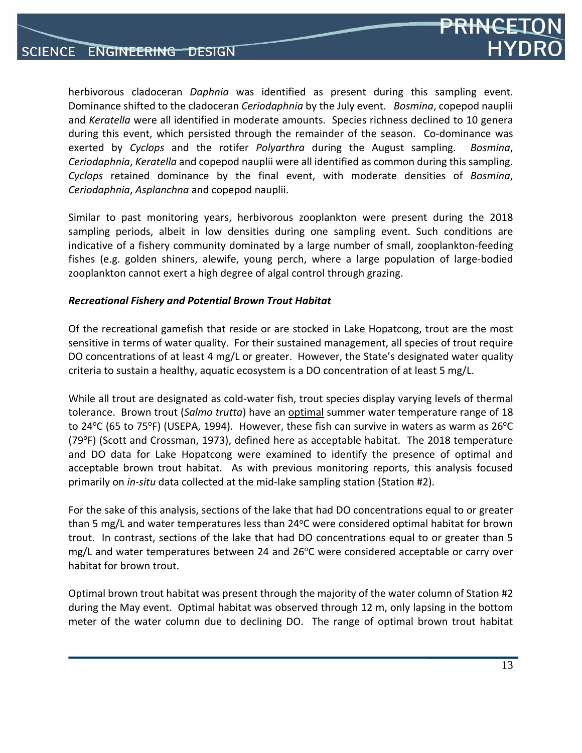

herbivorous cladoceran *Daphnia* was identified as present during this sampling event. Dominance shifted to the cladoceran *Ceriodaphnia* by the July event. *Bosmina*, copepod nauplii and *Keratella* were all identified in moderate amounts. Species richness declined to 10 genera during this event, which persisted through the remainder of the season. Co-dominance was exerted by *Cyclops* and the rotifer *Polyarthra* during the August sampling. *Bosmina*, *Ceriodaphnia*, *Keratella* and copepod nauplii were all identified as common during this sampling. *Cyclops* retained dominance by the final event, with moderate densities of *Bosmina*, *Ceriodaphnia*, *Asplanchna* and copepod nauplii.

Similar to past monitoring years, herbivorous zooplankton were present during the 2018 sampling periods, albeit in low densities during one sampling event. Such conditions are indicative of a fishery community dominated by a large number of small, zooplankton‐feeding fishes (e.g. golden shiners, alewife, young perch, where a large population of large‐bodied zooplankton cannot exert a high degree of algal control through grazing.

#### *Recreational Fishery and Potential Brown Trout Habitat*

Of the recreational gamefish that reside or are stocked in Lake Hopatcong, trout are the most sensitive in terms of water quality. For their sustained management, all species of trout require DO concentrations of at least 4 mg/L or greater. However, the State's designated water quality criteria to sustain a healthy, aquatic ecosystem is a DO concentration of at least 5 mg/L.

While all trout are designated as cold-water fish, trout species display varying levels of thermal tolerance. Brown trout (*Salmo trutta*) have an optimal summer water temperature range of 18 to 24 $\degree$ C (65 to 75 $\degree$ F) (USEPA, 1994). However, these fish can survive in waters as warm as 26 $\degree$ C  $(79^{\circ}F)$  (Scott and Crossman, 1973), defined here as acceptable habitat. The 2018 temperature and DO data for Lake Hopatcong were examined to identify the presence of optimal and acceptable brown trout habitat. As with previous monitoring reports, this analysis focused primarily on *in‐situ* data collected at the mid‐lake sampling station (Station #2).

For the sake of this analysis, sections of the lake that had DO concentrations equal to or greater than 5 mg/L and water temperatures less than  $24^{\circ}$ C were considered optimal habitat for brown trout. In contrast, sections of the lake that had DO concentrations equal to or greater than 5 mg/L and water temperatures between 24 and 26°C were considered acceptable or carry over habitat for brown trout.

Optimal brown trout habitat was present through the majority of the water column of Station #2 during the May event. Optimal habitat was observed through 12 m, only lapsing in the bottom meter of the water column due to declining DO. The range of optimal brown trout habitat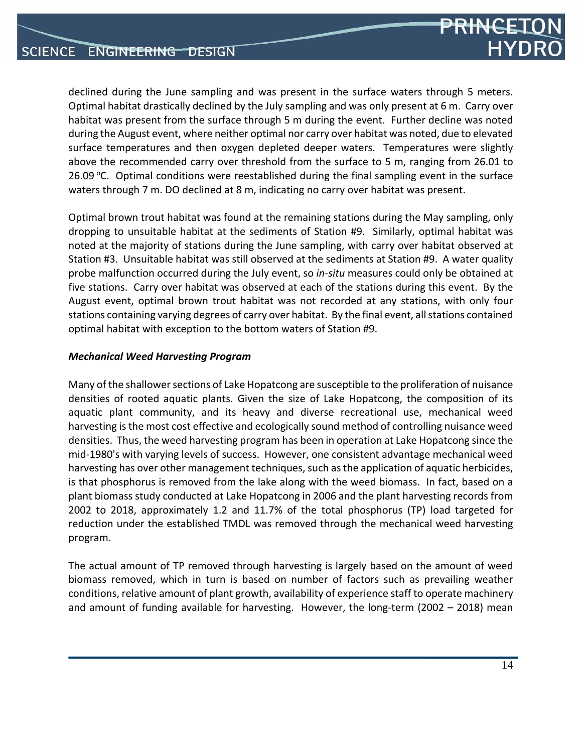declined during the June sampling and was present in the surface waters through 5 meters. Optimal habitat drastically declined by the July sampling and was only present at 6 m. Carry over habitat was present from the surface through 5 m during the event. Further decline was noted during the August event, where neither optimal nor carry over habitat was noted, due to elevated surface temperatures and then oxygen depleted deeper waters. Temperatures were slightly above the recommended carry over threshold from the surface to 5 m, ranging from 26.01 to 26.09  $\degree$ C. Optimal conditions were reestablished during the final sampling event in the surface waters through 7 m. DO declined at 8 m, indicating no carry over habitat was present.

Optimal brown trout habitat was found at the remaining stations during the May sampling, only dropping to unsuitable habitat at the sediments of Station #9. Similarly, optimal habitat was noted at the majority of stations during the June sampling, with carry over habitat observed at Station #3. Unsuitable habitat was still observed at the sediments at Station #9. A water quality probe malfunction occurred during the July event, so *in‐situ* measures could only be obtained at five stations. Carry over habitat was observed at each of the stations during this event. By the August event, optimal brown trout habitat was not recorded at any stations, with only four stations containing varying degrees of carry over habitat. By the final event, all stations contained optimal habitat with exception to the bottom waters of Station #9.

#### *Mechanical Weed Harvesting Program*

Many of the shallower sections of Lake Hopatcong are susceptible to the proliferation of nuisance densities of rooted aquatic plants. Given the size of Lake Hopatcong, the composition of its aquatic plant community, and its heavy and diverse recreational use, mechanical weed harvesting isthe most cost effective and ecologically sound method of controlling nuisance weed densities. Thus, the weed harvesting program has been in operation at Lake Hopatcong since the mid‐1980's with varying levels of success. However, one consistent advantage mechanical weed harvesting has over other management techniques, such as the application of aquatic herbicides, is that phosphorus is removed from the lake along with the weed biomass. In fact, based on a plant biomass study conducted at Lake Hopatcong in 2006 and the plant harvesting records from 2002 to 2018, approximately 1.2 and 11.7% of the total phosphorus (TP) load targeted for reduction under the established TMDL was removed through the mechanical weed harvesting program.

The actual amount of TP removed through harvesting is largely based on the amount of weed biomass removed, which in turn is based on number of factors such as prevailing weather conditions, relative amount of plant growth, availability of experience staff to operate machinery and amount of funding available for harvesting. However, the long-term (2002 – 2018) mean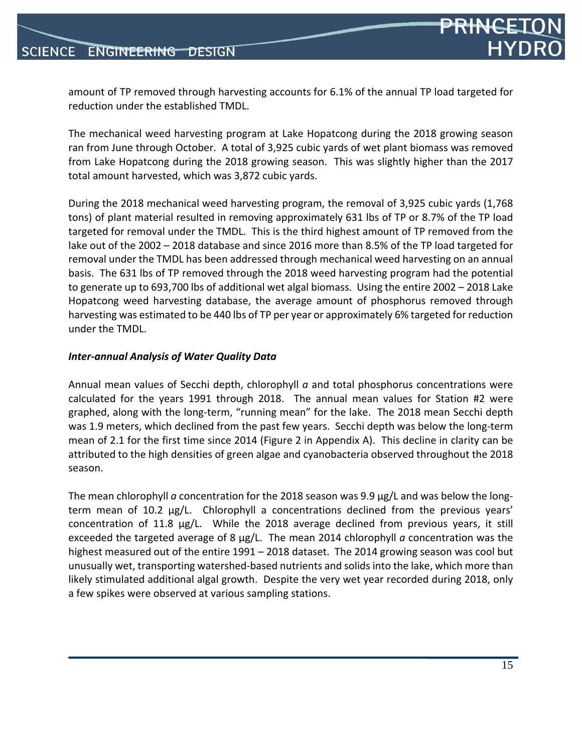

amount of TP removed through harvesting accounts for 6.1% of the annual TP load targeted for reduction under the established TMDL.

The mechanical weed harvesting program at Lake Hopatcong during the 2018 growing season ran from June through October. A total of 3,925 cubic yards of wet plant biomass was removed from Lake Hopatcong during the 2018 growing season. This was slightly higher than the 2017 total amount harvested, which was 3,872 cubic yards.

During the 2018 mechanical weed harvesting program, the removal of 3,925 cubic yards (1,768 tons) of plant material resulted in removing approximately 631 lbs of TP or 8.7% of the TP load targeted for removal under the TMDL. This is the third highest amount of TP removed from the lake out of the 2002 – 2018 database and since 2016 more than 8.5% of the TP load targeted for removal under the TMDL has been addressed through mechanical weed harvesting on an annual basis. The 631 lbs of TP removed through the 2018 weed harvesting program had the potential to generate up to 693,700 lbs of additional wet algal biomass. Using the entire 2002 – 2018 Lake Hopatcong weed harvesting database, the average amount of phosphorus removed through harvesting was estimated to be 440 lbs of TP per year or approximately 6% targeted for reduction under the TMDL.

#### *Inter‐annual Analysis of Water Quality Data*

Annual mean values of Secchi depth, chlorophyll *a* and total phosphorus concentrations were calculated for the years 1991 through 2018. The annual mean values for Station #2 were graphed, along with the long‐term, "running mean" for the lake. The 2018 mean Secchi depth was 1.9 meters, which declined from the past few years. Secchi depth was below the long-term mean of 2.1 for the first time since 2014 (Figure 2 in Appendix A). This decline in clarity can be attributed to the high densities of green algae and cyanobacteria observed throughout the 2018 season.

The mean chlorophyll *a* concentration for the 2018 season was 9.9 µg/L and was below the longterm mean of 10.2 µg/L. Chlorophyll a concentrations declined from the previous years' concentration of 11.8  $\mu$ g/L. While the 2018 average declined from previous years, it still exceeded the targeted average of 8 µg/L. The mean 2014 chlorophyll *a* concentration was the highest measured out of the entire 1991 – 2018 dataset. The 2014 growing season was cool but unusually wet, transporting watershed‐based nutrients and solids into the lake, which more than likely stimulated additional algal growth. Despite the very wet year recorded during 2018, only a few spikes were observed at various sampling stations.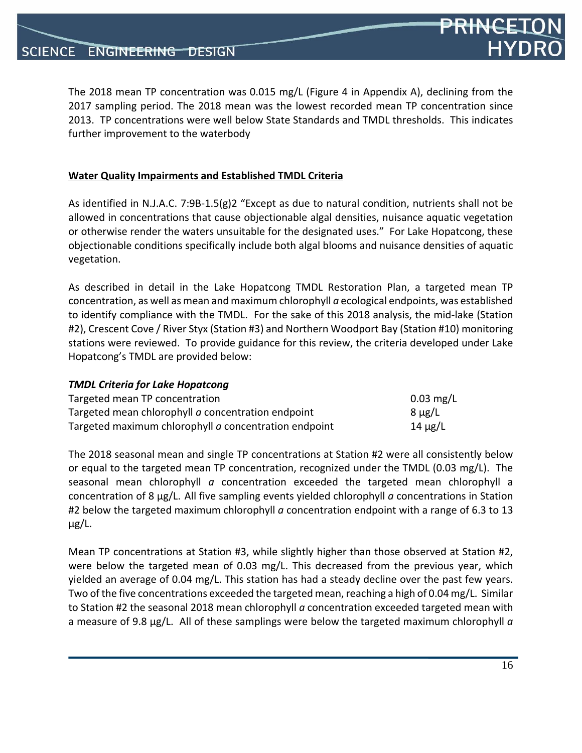*TMDL Criteria for Lake Hopatcong*

The 2018 mean TP concentration was 0.015 mg/L (Figure 4 in Appendix A), declining from the 2017 sampling period. The 2018 mean was the lowest recorded mean TP concentration since 2013. TP concentrations were well below State Standards and TMDL thresholds. This indicates further improvement to the waterbody

#### **Water Quality Impairments and Established TMDL Criteria**

As identified in N.J.A.C. 7:9B‐1.5(g)2 "Except as due to natural condition, nutrients shall not be allowed in concentrations that cause objectionable algal densities, nuisance aquatic vegetation or otherwise render the waters unsuitable for the designated uses." For Lake Hopatcong, these objectionable conditions specifically include both algal blooms and nuisance densities of aquatic vegetation.

As described in detail in the Lake Hopatcong TMDL Restoration Plan, a targeted mean TP concentration, as well as mean and maximum chlorophyll *a* ecological endpoints, was established to identify compliance with the TMDL. For the sake of this 2018 analysis, the mid‐lake (Station #2), Crescent Cove / River Styx (Station #3) and Northern Woodport Bay (Station #10) monitoring stations were reviewed. To provide guidance for this review, the criteria developed under Lake Hopatcong's TMDL are provided below:

| <b>TIVIDE CHILCHO TOI LUNC HODULCONG</b>              |                        |
|-------------------------------------------------------|------------------------|
| Targeted mean TP concentration                        | $0.03 \,\mathrm{mg/L}$ |
| Targeted mean chlorophyll a concentration endpoint    | $8 \mu g/L$            |
| Targeted maximum chlorophyll a concentration endpoint | 14 μg/L                |

The 2018 seasonal mean and single TP concentrations at Station #2 were all consistently below or equal to the targeted mean TP concentration, recognized under the TMDL (0.03 mg/L). The seasonal mean chlorophyll *a* concentration exceeded the targeted mean chlorophyll a concentration of 8 µg/L. All five sampling events yielded chlorophyll *a* concentrations in Station #2 below the targeted maximum chlorophyll *a* concentration endpoint with a range of 6.3 to 13 µg/L.

Mean TP concentrations at Station #3, while slightly higher than those observed at Station #2, were below the targeted mean of 0.03 mg/L. This decreased from the previous year, which yielded an average of 0.04 mg/L. This station has had a steady decline over the past few years. Two of the five concentrations exceeded the targeted mean, reaching a high of 0.04 mg/L. Similar to Station #2 the seasonal 2018 mean chlorophyll *a* concentration exceeded targeted mean with a measure of 9.8 µg/L. All of these samplings were below the targeted maximum chlorophyll *a*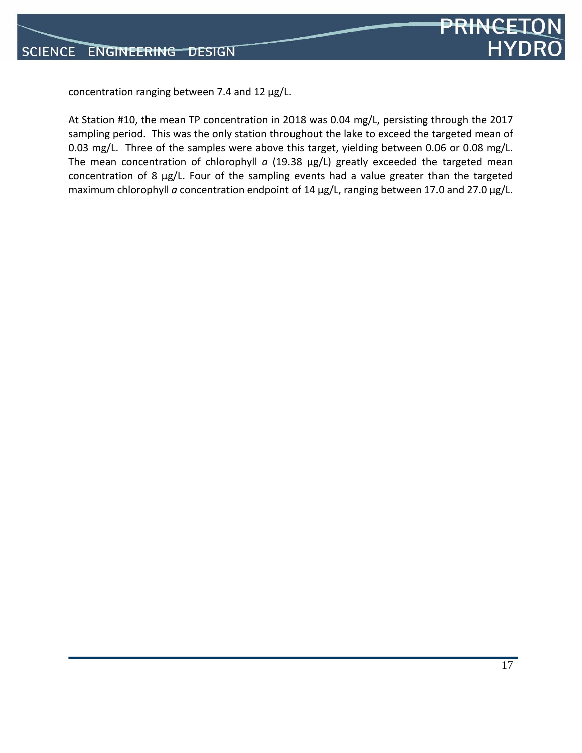

concentration ranging between 7.4 and 12 µg/L.

At Station #10, the mean TP concentration in 2018 was 0.04 mg/L, persisting through the 2017 sampling period. This was the only station throughout the lake to exceed the targeted mean of 0.03 mg/L. Three of the samples were above this target, yielding between 0.06 or 0.08 mg/L. The mean concentration of chlorophyll *a* (19.38 µg/L) greatly exceeded the targeted mean concentration of 8 µg/L. Four of the sampling events had a value greater than the targeted maximum chlorophyll *a* concentration endpoint of 14 µg/L, ranging between 17.0 and 27.0 µg/L.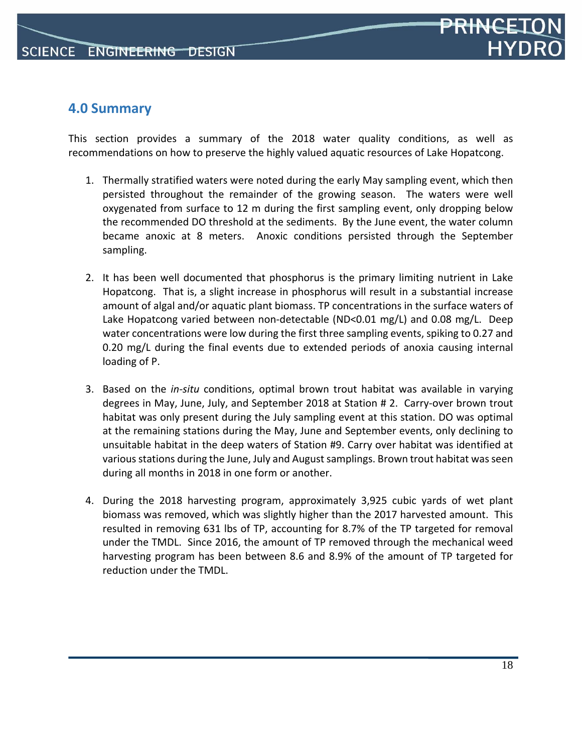## **4.0 Summary**

This section provides a summary of the 2018 water quality conditions, as well as recommendations on how to preserve the highly valued aquatic resources of Lake Hopatcong.

- 1. Thermally stratified waters were noted during the early May sampling event, which then persisted throughout the remainder of the growing season. The waters were well oxygenated from surface to 12 m during the first sampling event, only dropping below the recommended DO threshold at the sediments. By the June event, the water column became anoxic at 8 meters. Anoxic conditions persisted through the September sampling.
- 2. It has been well documented that phosphorus is the primary limiting nutrient in Lake Hopatcong. That is, a slight increase in phosphorus will result in a substantial increase amount of algal and/or aquatic plant biomass. TP concentrations in the surface waters of Lake Hopatcong varied between non-detectable (ND<0.01 mg/L) and 0.08 mg/L. Deep water concentrations were low during the first three sampling events, spiking to 0.27 and 0.20 mg/L during the final events due to extended periods of anoxia causing internal loading of P.
- 3. Based on the *in‐situ* conditions, optimal brown trout habitat was available in varying degrees in May, June, July, and September 2018 at Station # 2. Carry‐over brown trout habitat was only present during the July sampling event at this station. DO was optimal at the remaining stations during the May, June and September events, only declining to unsuitable habitat in the deep waters of Station #9. Carry over habitat was identified at various stations during the June, July and August samplings. Brown trout habitat was seen during all months in 2018 in one form or another.
- 4. During the 2018 harvesting program, approximately 3,925 cubic yards of wet plant biomass was removed, which was slightly higher than the 2017 harvested amount. This resulted in removing 631 lbs of TP, accounting for 8.7% of the TP targeted for removal under the TMDL. Since 2016, the amount of TP removed through the mechanical weed harvesting program has been between 8.6 and 8.9% of the amount of TP targeted for reduction under the TMDL.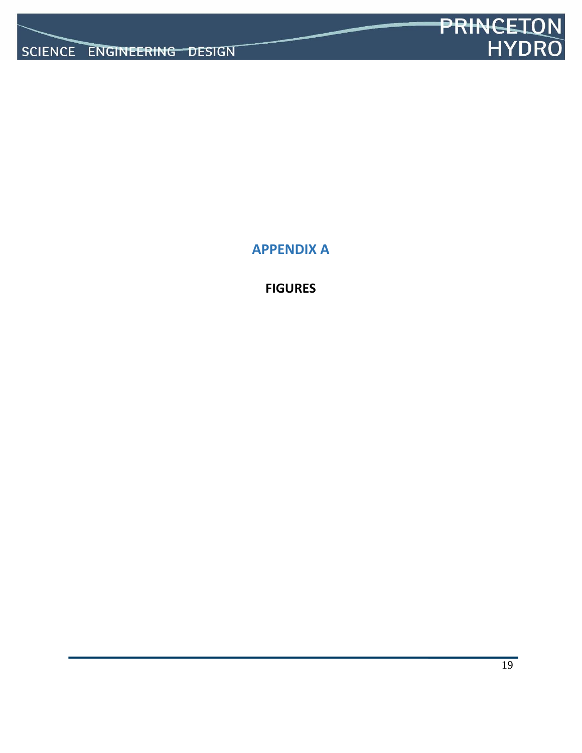

**APPENDIX A**

**FIGURES**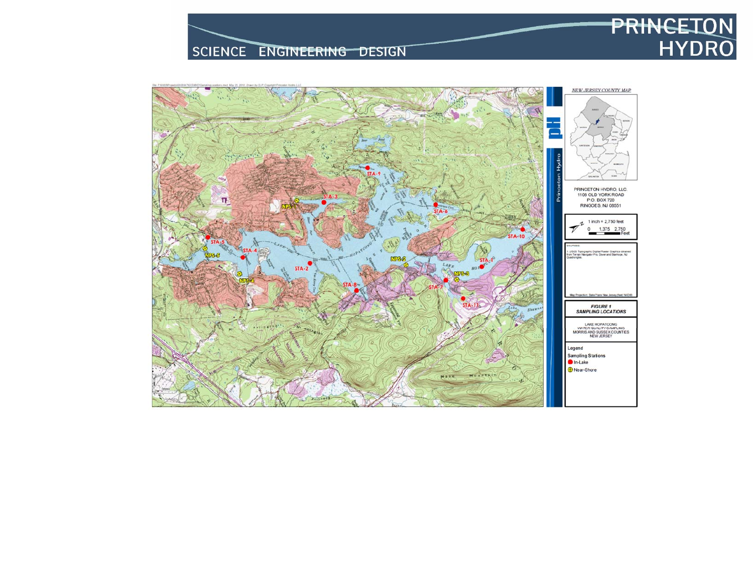# SCIENCE ENGINEERING DESIGN

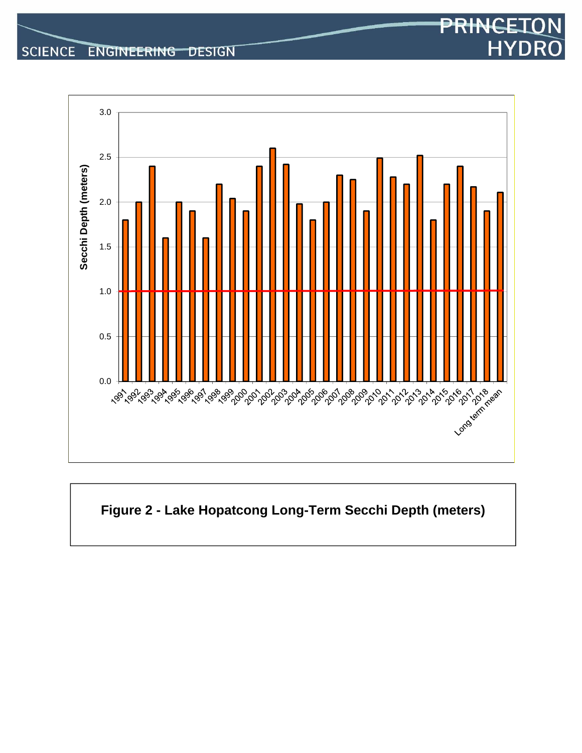



# PRINCET **HYDRO**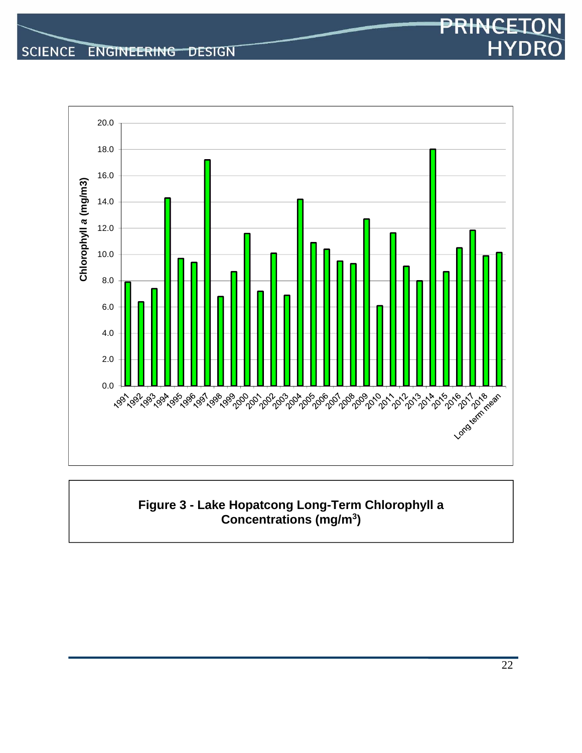

#### **Figure 3 - Lake Hopatcong Long-Term Chlorophyll a Concentrations (mg/m3)**

PRINCET

**HYDR**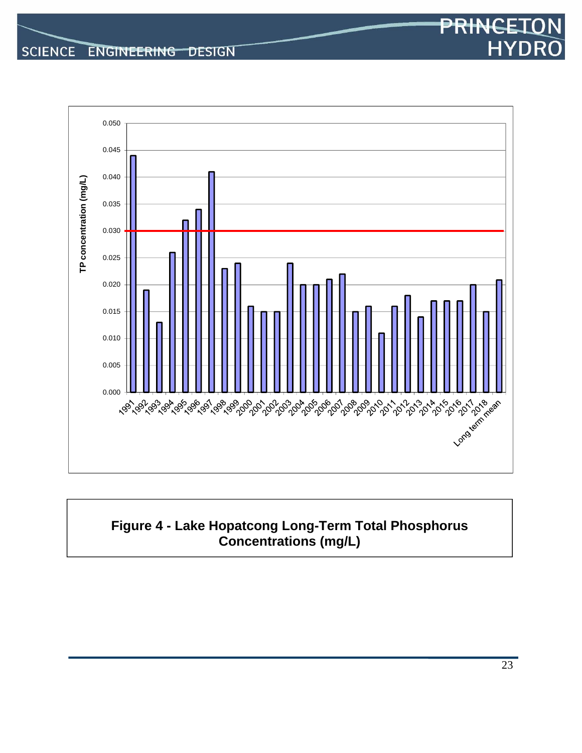

# **Figure 4 - Lake Hopatcong Long-Term Total Phosphorus Concentrations (mg/L)**

PRINCET

**HYDR**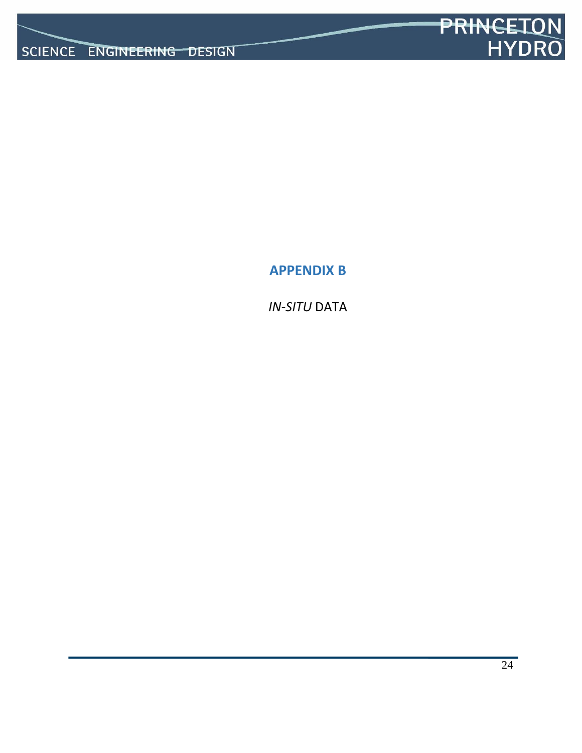

**APPENDIX B**

*IN‐SITU* DATA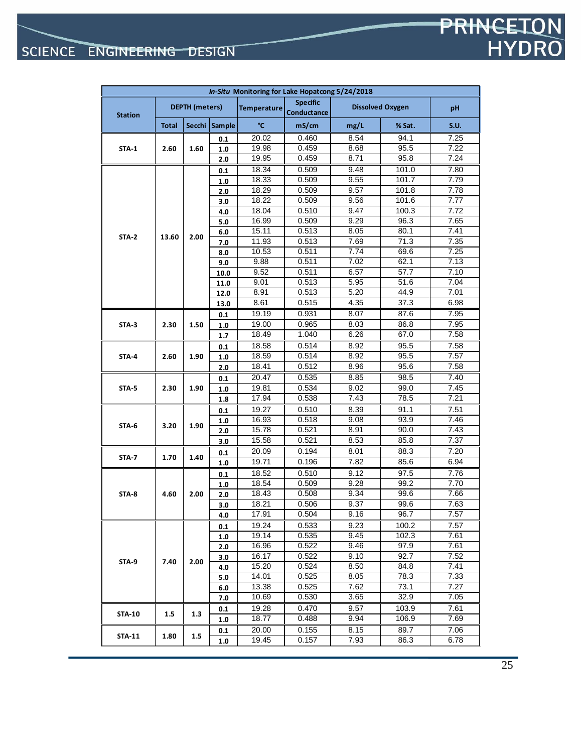| In-Situ Monitoring for Lake Hopatcong 5/24/2018 |              |                       |               |                    |                                |      |                         |             |
|-------------------------------------------------|--------------|-----------------------|---------------|--------------------|--------------------------------|------|-------------------------|-------------|
| <b>Station</b>                                  |              | <b>DEPTH</b> (meters) |               | <b>Temperature</b> | <b>Specific</b><br>Conductance |      | <b>Dissolved Oxygen</b> | pH          |
|                                                 | <b>Total</b> | Secchi                | <b>Sample</b> | °C                 | mS/cm                          | mg/L | % Sat.                  | <b>S.U.</b> |
|                                                 |              |                       | 0.1           | 20.02              | 0.460                          | 8.54 | 94.1                    | 7.25        |
| STA-1                                           | 2.60         | 1.60                  | 1.0           | 19.98              | 0.459                          | 8.68 | 95.5                    | 7.22        |
|                                                 |              |                       | 2.0           | 19.95              | 0.459                          | 8.71 | 95.8                    | 7.24        |
|                                                 |              |                       | 0.1           | 18.34              | 0.509                          | 9.48 | 101.0                   | 7.80        |
|                                                 |              |                       | 1.0           | 18.33              | 0.509                          | 9.55 | 101.7                   | 7.79        |
|                                                 |              |                       | 2.0           | 18.29              | 0.509                          | 9.57 | 101.8                   | 7.78        |
|                                                 |              |                       | 3.0           | 18.22              | 0.509                          | 9.56 | 101.6                   | 7.77        |
|                                                 |              |                       | 4.0           | 18.04              | 0.510                          | 9.47 | 100.3                   | 7.72        |
|                                                 |              |                       | 5.0           | 16.99              | 0.509                          | 9.29 | 96.3                    | 7.65        |
| STA-2                                           | 13.60        | 2.00                  | 6.0           | 15.11              | 0.513                          | 8.05 | 80.1                    | 7.41        |
|                                                 |              |                       | 7.0           | 11.93              | 0.513                          | 7.69 | 71.3                    | 7.35        |
|                                                 |              |                       | 8.0           | 10.53              | 0.511                          | 7.74 | 69.6                    | 7.25        |
|                                                 |              |                       | 9.0           | 9.88               | 0.511                          | 7.02 | 62.1                    | 7.13        |
|                                                 |              |                       | 10.0          | 9.52               | 0.511                          | 6.57 | 57.7                    | 7.10        |
|                                                 |              |                       | 11.0          | 9.01               | 0.513                          | 5.95 | 51.6                    | 7.04        |
|                                                 |              |                       | 12.0          | 8.91               | 0.513                          | 5.20 | 44.9                    | 7.01        |
|                                                 |              |                       | 13.0          | 8.61               | 0.515                          | 4.35 | 37.3                    | 6.98        |
|                                                 |              |                       | 0.1           | 19.19              | 0.931                          | 8.07 | 87.6                    | 7.95        |
| STA-3                                           | 2.30         | 1.50                  | 1.0           | 19.00              | 0.965                          | 8.03 | 86.8                    | 7.95        |
|                                                 |              |                       | 1.7           | 18.49              | 1.040                          | 6.26 | 67.0                    | 7.58        |
|                                                 |              |                       | 0.1           | 18.58              | 0.514                          | 8.92 | 95.5                    | 7.58        |
| STA-4                                           | 2.60         | 1.90                  | 1.0           | 18.59              | 0.514                          | 8.92 | 95.5                    | 7.57        |
|                                                 |              |                       | 2.0           | 18.41              | 0.512                          | 8.96 | 95.6                    | 7.58        |
|                                                 |              | 1.90                  | 0.1           | 20.47              | 0.535                          | 8.85 | 98.5                    | 7.40        |
| STA-5                                           | 2.30         |                       | 1.0           | 19.81              | 0.534                          | 9.02 | 99.0                    | 7.45        |
|                                                 |              |                       | 1.8           | 17.94              | 0.538                          | 7.43 | 78.5                    | 7.21        |
|                                                 |              |                       | 0.1           | 19.27              | 0.510                          | 8.39 | 91.1                    | 7.51        |
| STA-6                                           | 3.20         | 1.90                  | 1.0           | 16.93              | 0.518                          | 9.08 | 93.9                    | 7.46        |
|                                                 |              |                       | 2.0           | 15.78              | 0.521                          | 8.91 | 90.0                    | 7.43        |
|                                                 |              |                       | 3.0           | 15.58              | 0.521                          | 8.53 | 85.8                    | 7.37        |
| STA-7                                           | 1.70         | 1.40                  | 0.1           | 20.09              | 0.194                          | 8.01 | 88.3                    | 7.20        |
|                                                 |              |                       | 1.0           | 19.71              | 0.196                          | 7.82 | 85.6                    | 6.94        |
|                                                 |              |                       | 0.1           | 18.52              | 0.510                          | 9.12 | 97.5                    | 7.76        |
|                                                 |              |                       | 1.0           | 18.54              | 0.509                          | 9.28 | 99.2                    | 7.70        |
| STA-8                                           | 4.60         | 2.00                  | 2.0           | 18.43              | 0.508                          | 9.34 | 99.6                    | 7.66        |
|                                                 |              |                       | 3.0           | 18.21              | 0.506                          | 9.37 | 99.6                    | 7.63        |
|                                                 |              |                       | 4.0           | 17.91              | 0.504                          | 9.16 | 96.7                    | 7.57        |
|                                                 |              |                       | 0.1           | 19.24              | 0.533                          | 9.23 | 100.2                   | 7.57        |
|                                                 |              |                       | 1.0           | 19.14              | 0.535                          | 9.45 | 102.3                   | 7.61        |
|                                                 |              |                       | 2.0           | 16.96              | 0.522                          | 9.46 | 97.9                    | 7.61        |
| <b>STA-9</b>                                    | 7.40         | 2.00                  | 3.0           | 16.17              | 0.522                          | 9.10 | 92.7                    | 7.52        |
|                                                 |              |                       | 4.0           | 15.20              | 0.524                          | 8.50 | 84.8                    | 7.41        |
|                                                 |              |                       | 5.0           | 14.01              | 0.525                          | 8.05 | 78.3                    | 7.33        |
|                                                 |              |                       | 6.0           | 13.38              | 0.525                          | 7.62 | 73.1                    | 7.27        |
|                                                 |              |                       | 7.0           | 10.69              | 0.530                          | 3.65 | 32.9                    | 7.05        |
| <b>STA-10</b>                                   | 1.5          | 1.3                   | 0.1           | 19.28              | 0.470                          | 9.57 | 103.9                   | 7.61        |
|                                                 |              |                       | 1.0           | 18.77              | 0.488                          | 9.94 | 106.9                   | 7.69        |
| <b>STA-11</b>                                   | 1.80         | $1.5\,$               | 0.1           | 20.00              | 0.155                          | 8.15 | 89.7                    | 7.06        |
|                                                 |              |                       | 1.0           | 19.45              | 0.157                          | 7.93 | 86.3                    | 6.78        |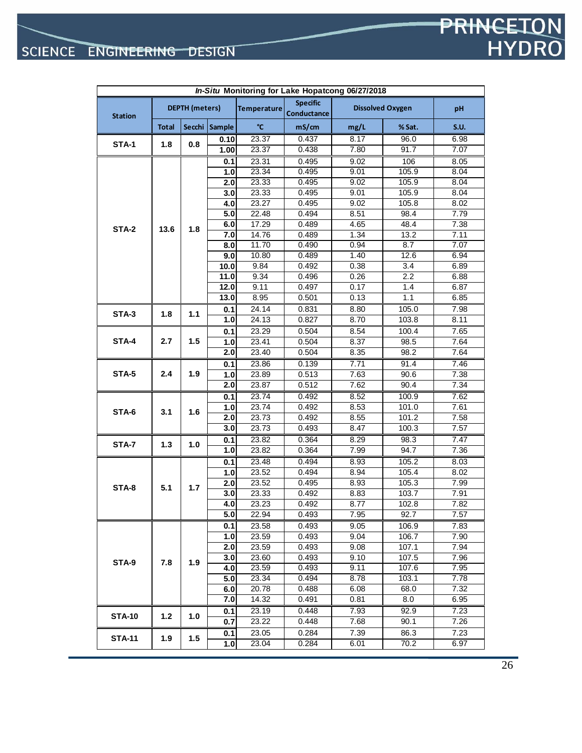| In-Situ Monitoring for Lake Hopatcong 06/27/2018 |              |                       |               |                    |                                       |      |                         |             |
|--------------------------------------------------|--------------|-----------------------|---------------|--------------------|---------------------------------------|------|-------------------------|-------------|
| <b>Station</b>                                   |              | <b>DEPTH</b> (meters) |               | Temperature        | <b>Specific</b><br><b>Conductance</b> |      | <b>Dissolved Oxygen</b> | pH          |
|                                                  | <b>Total</b> |                       | Secchi Sample | °C                 | mS/cm                                 | mg/L | % Sat.                  | <b>S.U.</b> |
|                                                  |              |                       | 0.10          | 23.37              | 0.437                                 | 8.17 | 96.0                    | 6.98        |
| STA-1                                            | 1.8          | 0.8                   | 1.00          | 23.37              | 0.438                                 | 7.80 | 91.7                    | 7.07        |
|                                                  |              |                       | 0.1           | 23.31              | 0.495                                 | 9.02 | 106                     | 8.05        |
|                                                  |              |                       | 1.0           | 23.34              | 0.495                                 | 9.01 | 105.9                   | 8.04        |
|                                                  |              |                       | 2.0           | 23.33              | 0.495                                 | 9.02 | 105.9                   | 8.04        |
|                                                  |              |                       | 3.0           | 23.33              | 0.495                                 | 9.01 | 105.9                   | 8.04        |
|                                                  |              |                       | 4.0           | 23.27              | 0.495                                 | 9.02 | 105.8                   | 8.02        |
|                                                  |              |                       | 5.0           | 22.48              | 0.494                                 | 8.51 | 98.4                    | 7.79        |
| STA-2                                            | 13.6         | 1.8                   | 6.0           | $\overline{17.29}$ | 0.489                                 | 4.65 | 48.4                    | 7.38        |
|                                                  |              |                       | 7.0           | 14.76              | 0.489                                 | 1.34 | 13.2                    | 7.11        |
|                                                  |              |                       | 8.0           | 11.70              | 0.490                                 | 0.94 | 8.7                     | 7.07        |
|                                                  |              |                       | 9.0           | 10.80              | 0.489                                 | 1.40 | 12.6                    | 6.94        |
|                                                  |              |                       | 10.0          | 9.84               | 0.492                                 | 0.38 | 3.4                     | 6.89        |
|                                                  |              |                       | 11.0          | 9.34               | 0.496                                 | 0.26 | 2.2                     | 6.88        |
|                                                  |              |                       | 12.0          | 9.11               | 0.497                                 | 0.17 | 1.4                     | 6.87        |
|                                                  |              |                       | 13.0          | 8.95               | 0.501                                 | 0.13 | 1.1                     | 6.85        |
| STA-3                                            | 1.8          | 1.1                   | 0.1           | 24.14              | 0.831                                 | 8.80 | 105.0                   | 7.98        |
|                                                  |              |                       | 1.0           | 24.13              | 0.827                                 | 8.70 | 103.8                   | 8.11        |
|                                                  |              |                       | 0.1           | 23.29              | 0.504                                 | 8.54 | 100.4                   | 7.65        |
| STA-4                                            | 2.7          | 1.5                   | 1.0           | 23.41              | 0.504                                 | 8.37 | 98.5                    | 7.64        |
|                                                  |              |                       | 2.0           | 23.40              | 0.504                                 | 8.35 | 98.2                    | 7.64        |
|                                                  |              |                       | 0.1           | 23.86              | 0.139                                 | 7.71 | 91.4                    | 7.46        |
| STA-5                                            | 2.4          | 1.9                   | 1.0           | 23.89              | 0.513                                 | 7.63 | 90.6                    | 7.38        |
|                                                  |              |                       | 2.0           | 23.87              | 0.512                                 | 7.62 | 90.4                    | 7.34        |
|                                                  |              |                       | 0.1           | 23.74              | 0.492                                 | 8.52 | 100.9                   | 7.62        |
| STA-6                                            | 3.1          | 1.6                   | 1.0           | 23.74              | 0.492                                 | 8.53 | 101.0                   | 7.61        |
|                                                  |              |                       | 2.0           | 23.73              | 0.492                                 | 8.55 | 101.2                   | 7.58        |
|                                                  |              |                       | 3.0           | 23.73              | 0.493                                 | 8.47 | 100.3                   | 7.57        |
| STA-7                                            | 1.3          | 1.0                   | 0.1           | 23.82              | 0.364                                 | 8.29 | 98.3                    | 7.47        |
|                                                  |              |                       | 1.0           | 23.82              | 0.364                                 | 7.99 | 94.7                    | 7.36        |
|                                                  |              |                       | 0.1           | 23.48              | 0.494                                 | 8.93 | 105.2                   | 8.03        |
|                                                  |              |                       | 1.0           | 23.52              | 0.494                                 | 8.94 | 105.4                   | 8.02        |
| STA-8                                            | 5.1          | 1.7                   | 2.0           | 23.52              | 0.495                                 | 8.93 | 105.3                   | 7.99        |
|                                                  |              |                       | 3.0           | 23.33              | 0.492                                 | 8.83 | 103.7                   | 7.91        |
|                                                  |              |                       | 4.0           | 23.23              | 0.492                                 | 8.77 | 102.8                   | 7.82        |
|                                                  |              |                       | 5.0           | 22.94              | 0.493                                 | 7.95 | 92.7                    | 7.57        |
|                                                  |              |                       | 0.1           | 23.58              | 0.493                                 | 9.05 | 106.9                   | 7.83        |
|                                                  |              |                       | 1.0           | 23.59              | 0.493                                 | 9.04 | 106.7                   | 7.90        |
|                                                  |              |                       | 2.0           | 23.59              | 0.493                                 | 9.08 | 107.1                   | 7.94        |
| STA-9                                            | 7.8          | 1.9                   | 3.0           | 23.60              | 0.493                                 | 9.10 | 107.5                   | 7.96        |
|                                                  |              |                       | 4.0           | 23.59              | 0.493                                 | 9.11 | 107.6                   | 7.95        |
|                                                  |              |                       | 5.0           | 23.34              | 0.494                                 | 8.78 | 103.1                   | 7.78        |
|                                                  |              |                       | 6.0           | 20.78              | 0.488                                 | 6.08 | 68.0                    | 7.32        |
|                                                  |              |                       | 7.0           | 14.32              | 0.491                                 | 0.81 | 8.0                     | 6.95        |
| <b>STA-10</b>                                    | 1.2          | 1.0                   | 0.1           | 23.19              | 0.448                                 | 7.93 | 92.9                    | 7.23        |
|                                                  |              |                       | 0.7           | 23.22              | 0.448                                 | 7.68 | 90.1                    | 7.26        |
| <b>STA-11</b>                                    | 1.9          | 1.5                   | 0.1           | 23.05              | 0.284                                 | 7.39 | 86.3                    | 7.23        |
|                                                  |              |                       | 1.0           | 23.04              | 0.284                                 | 6.01 | 70.2                    | 6.97        |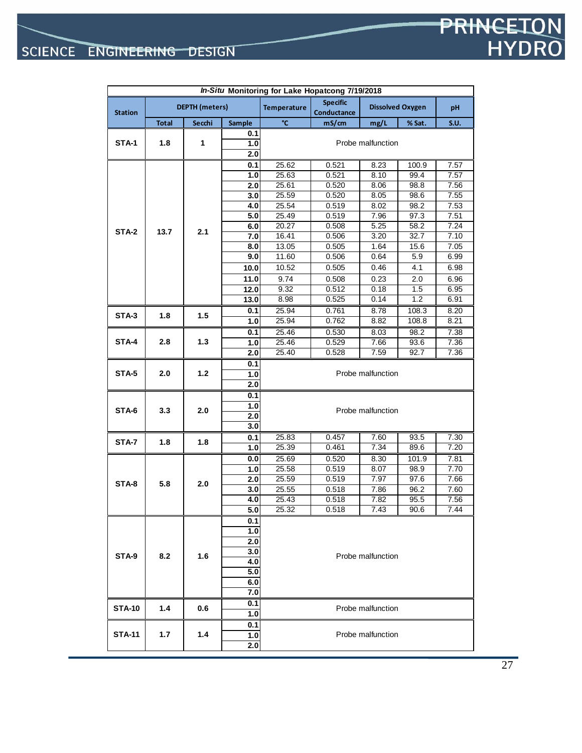|                |              |                       |                | In-Situ Monitoring for Lake Hopatcong 7/19/2018 | <b>Specific</b> |                   |                         |             |
|----------------|--------------|-----------------------|----------------|-------------------------------------------------|-----------------|-------------------|-------------------------|-------------|
| <b>Station</b> |              | <b>DEPTH</b> (meters) |                | <b>Temperature</b>                              | Conductance     |                   | <b>Dissolved Oxygen</b> | рH          |
|                | <b>Total</b> | Secchi                | Sample         | °C                                              | mS/cm           | mg/L              | % Sat.                  | <b>S.U.</b> |
|                |              |                       | 0.1            |                                                 |                 |                   |                         |             |
| <b>STA-1</b>   | 1.8          | 1                     | 1.0            |                                                 |                 | Probe malfunction |                         |             |
|                |              |                       | 2.0            |                                                 |                 |                   |                         |             |
|                |              |                       | 0.1            | 25.62                                           | 0.521           | 8.23              | 100.9                   | 7.57        |
|                |              |                       | 1.0            | 25.63                                           | 0.521           | 8.10              | 99.4                    | 7.57        |
|                |              |                       | 2.0            | 25.61                                           | 0.520           | 8.06              | 98.8                    | 7.56        |
|                |              |                       | 3.0            | 25.59                                           | 0.520           | 8.05              | 98.6                    | 7.55        |
|                |              | 4.0<br>5.0            | 25.54<br>25.49 | 0.519<br>0.519                                  | 8.02<br>7.96    | 98.2<br>97.3      | 7.53<br>7.51            |             |
|                |              |                       | 6.0            | 20.27                                           | 0.508           | 5.25              | 58.2                    | 7.24        |
| <b>STA-2</b>   | 13.7         | 2.1                   | 7.0            | 16.41                                           | 0.506           | 3.20              | 32.7                    | 7.10        |
|                |              |                       | 8.0            | 13.05                                           | 0.505           | 1.64              | 15.6                    | 7.05        |
|                |              |                       | 9.0            | 11.60                                           | 0.506           | 0.64              | 5.9                     | 6.99        |
|                |              |                       | 10.0           | 10.52                                           | 0.505           | 0.46              | 4.1                     | 6.98        |
|                |              |                       | 11.0           | 9.74                                            | 0.508           | 0.23              | 2.0                     | 6.96        |
|                |              |                       | 12.0           | 9.32                                            | 0.512           | 0.18              | 1.5                     | 6.95        |
|                |              |                       | 13.0           | 8.98                                            | 0.525           | 0.14              | 1.2                     | 6.91        |
|                |              |                       | 0.1            | 25.94                                           | 0.761           | 8.78              | 108.3                   | 8.20        |
| STA-3          | 1.8          | 1.5                   | 1.0            | 25.94                                           | 0.762           | 8.82              | 108.8                   | 8.21        |
|                |              |                       | 0.1            | 25.46                                           | 0.530           | 8.03              | 98.2                    | 7.38        |
| STA-4          | 2.8          | $1.3$                 | 1.0            | 25.46                                           | 0.529           | 7.66              | 93.6                    | 7.36        |
|                |              | 2.0                   | 25.40          | 0.528                                           | 7.59            | 92.7              | 7.36                    |             |
|                |              | 0.1                   |                |                                                 |                 |                   |                         |             |
| STA-5          | 2.0          | 1.2                   | 1.0            |                                                 |                 | Probe malfunction |                         |             |
|                |              |                       | 2.0            |                                                 |                 |                   |                         |             |
|                |              |                       | 0.1            |                                                 |                 |                   |                         |             |
|                |              |                       | 1.0            |                                                 |                 | Probe malfunction |                         |             |
| STA-6          | 3.3          | 2.0                   | 2.0            |                                                 |                 |                   |                         |             |
|                |              |                       | 3.0            |                                                 |                 |                   |                         |             |
| <b>STA-7</b>   | 1.8          | 1.8                   | 0.1            | 25.83                                           | 0.457           | 7.60              | 93.5                    | 7.30        |
|                |              |                       | 1.0            | 25.39                                           | 0.461           | 7.34              | 89.6                    | 7.20        |
|                |              |                       | 0.0            | 25.69                                           | 0.520           | 8.30              | 101.9                   | 7.81        |
|                |              |                       | 1.0            | 25.58                                           | 0.519           | 8.07              | 98.9                    | 7.70        |
| STA-8          | 5.8          | 2.0                   | 2.0            | 25.59                                           | 0.519           | 7.97              | 97.6                    | 7.66        |
|                |              |                       | 3.0            | 25.55                                           | 0.518           | 7.86              | 96.2                    | 7.60        |
|                |              |                       | 4.0            | 25.43                                           | 0.518           | 7.82              | 95.5                    | 7.56        |
|                |              |                       | 5.0            | 25.32                                           | 0.518           | 7.43              | 90.6                    | 7.44        |
|                |              |                       | 0.1            |                                                 |                 |                   |                         |             |
|                |              |                       | 1.0            |                                                 |                 |                   |                         |             |
|                |              |                       | 2.0            |                                                 |                 |                   |                         |             |
| STA-9          | 8.2          | 1.6                   | 3.0            |                                                 |                 | Probe malfunction |                         |             |
|                |              |                       | 4.0            |                                                 |                 |                   |                         |             |
|                |              |                       | 5.0<br>6.0     |                                                 |                 |                   |                         |             |
|                |              |                       | 7.0            |                                                 |                 |                   |                         |             |
|                |              |                       |                |                                                 |                 |                   |                         |             |
| <b>STA-10</b>  | 1.4          | 0.6                   | 0.1<br>1.0     |                                                 |                 | Probe malfunction |                         |             |
|                |              |                       |                |                                                 |                 |                   |                         |             |
| <b>STA-11</b>  | 1.7          | 1.4                   | 0.1<br>1.0     |                                                 |                 | Probe malfunction |                         |             |
|                |              |                       |                |                                                 |                 |                   |                         |             |

**2.0**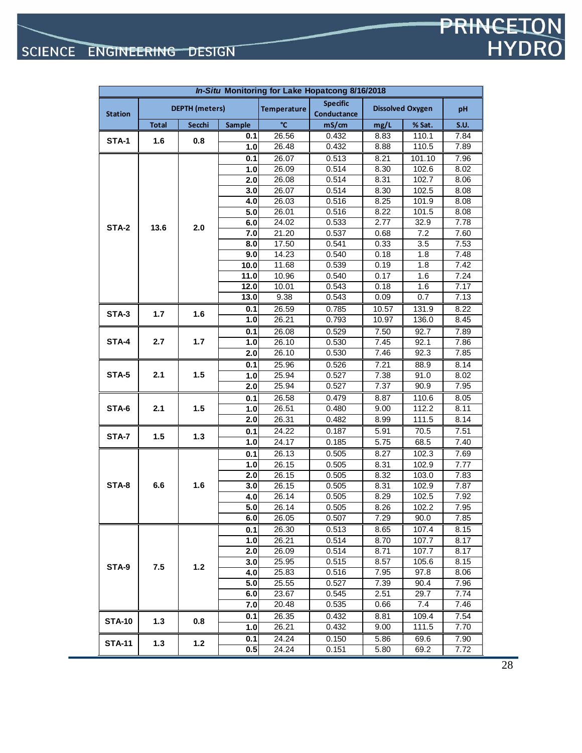| In-Situ Monitoring for Lake Hopatcong 8/16/2018 |              |                       |                   |                    |                                |       |                         |                   |
|-------------------------------------------------|--------------|-----------------------|-------------------|--------------------|--------------------------------|-------|-------------------------|-------------------|
| <b>Station</b>                                  |              | <b>DEPTH</b> (meters) |                   | <b>Temperature</b> | <b>Specific</b><br>Conductance |       | <b>Dissolved Oxygen</b> | pH                |
|                                                 | <b>Total</b> | Secchi                | <b>Sample</b>     | °C                 | mS/cm                          | mg/L  | % Sat.                  | <b>S.U.</b>       |
| STA-1                                           | 1.6          | 0.8                   | 0.1               | 26.56              | 0.432                          | 8.83  | 110.1                   | 7.84              |
|                                                 |              |                       | 1.0               | 26.48              | 0.432                          | 8.88  | 110.5                   | 7.89              |
|                                                 |              |                       | 0.1               | 26.07              | 0.513                          | 8.21  | 101.10                  | 7.96              |
|                                                 |              |                       | 1.0               | 26.09              | 0.514                          | 8.30  | 102.6                   | 8.02              |
|                                                 |              |                       | 2.0               | 26.08              | 0.514                          | 8.31  | 102.7                   | 8.06              |
|                                                 |              |                       | 3.0               | 26.07              | 0.514                          | 8.30  | 102.5                   | 8.08              |
|                                                 |              |                       | 4.0               | 26.03              | 0.516                          | 8.25  | 101.9                   | 8.08              |
|                                                 |              |                       | 5.0               | 26.01              | 0.516                          | 8.22  | 101.5                   | 8.08              |
| STA-2                                           | 13.6         | 2.0                   | 6.0               | 24.02              | 0.533                          | 2.77  | 32.9                    | 7.78              |
|                                                 |              |                       | 7.0               | 21.20              | 0.537                          | 0.68  | 7.2                     | 7.60              |
|                                                 |              |                       | 8.0               | 17.50              | 0.541                          | 0.33  | 3.5                     | 7.53              |
|                                                 |              |                       | 9.0               | 14.23              | 0.540                          | 0.18  | 1.8                     | 7.48              |
|                                                 |              |                       | 10.0              | 11.68              | 0.539                          | 0.19  | 1.8                     | 7.42              |
|                                                 |              |                       | 11.0              | 10.96              | 0.540                          | 0.17  | 1.6                     | 7.24              |
|                                                 |              |                       | $\overline{12.0}$ | 10.01              | 0.543                          | 0.18  | 1.6                     | 7.17              |
|                                                 |              |                       | 13.0              | 9.38               | 0.543                          | 0.09  | 0.7                     | 7.13              |
| STA-3                                           | 1.7          | 1.6                   | 0.1               | 26.59              | 0.785                          | 10.57 | 131.9                   | 8.22              |
|                                                 |              |                       | 1.0               | 26.21              | 0.793                          | 10.97 | 136.0                   | 8.45              |
|                                                 |              |                       | 0.1               | 26.08              | 0.529                          | 7.50  | 92.7                    | 7.89              |
| STA-4                                           | 2.7          | 1.7                   | 1.0               | 26.10              | 0.530                          | 7.45  | 92.1                    | 7.86              |
|                                                 |              |                       | 2.0               | 26.10              | 0.530                          | 7.46  | 92.3                    | 7.85              |
|                                                 |              |                       | 0.1               | 25.96              | 0.526                          | 7.21  | 88.9                    | 8.14              |
| STA-5                                           | 2.1          | 1.5                   | 1.0               | 25.94              | 0.527                          | 7.38  | 91.0                    | 8.02              |
|                                                 |              |                       | 2.0               | 25.94              | 0.527                          | 7.37  | 90.9                    | 7.95              |
|                                                 |              |                       | 0.1               | 26.58              | 0.479                          | 8.87  | 110.6                   | 8.05              |
| STA-6                                           | 2.1          | 1.5                   | 1.0               | 26.51              | 0.480                          | 9.00  | 112.2                   | $\overline{8.11}$ |
|                                                 |              |                       | 2.0               | 26.31              | 0.482                          | 8.99  | 111.5                   | 8.14              |
| STA-7                                           | 1.5          | 1.3                   | 0.1               | 24.22              | 0.187                          | 5.91  | 70.5                    | 7.51              |
|                                                 |              |                       | 1.0               | 24.17              | 0.185                          | 5.75  | 68.5                    | 7.40              |
|                                                 |              |                       | 0.1               | 26.13              | 0.505                          | 8.27  | 102.3                   | 7.69              |
|                                                 |              |                       | 1.0               | 26.15              | 0.505                          | 8.31  | 102.9                   | 7.77              |
|                                                 |              |                       | 2.0               | 26.15              | 0.505                          | 8.32  | 103.0                   | 7.83              |
| STA-8                                           | 6.6          | 1.6                   | 3.0               | 26.15              | 0.505                          | 8.31  | 102.9                   | 7.87              |
|                                                 |              |                       | 4.0               | 26.14              | 0.505                          | 8.29  | 102.5                   | 7.92              |
|                                                 |              |                       | 5.0               | 26.14              | 0.505                          | 8.26  | 102.2                   | 7.95              |
|                                                 |              |                       | 6.0               | 26.05              | 0.507                          | 7.29  | 90.0                    | 7.85              |
|                                                 |              |                       | 0.1               | 26.30              | 0.513                          | 8.65  | 107.4                   | 8.15              |
|                                                 |              |                       | 1.0               | 26.21              | 0.514                          | 8.70  | 107.7                   | 8.17              |
|                                                 |              |                       | 2.0               | 26.09              | 0.514                          | 8.71  | 107.7                   | 8.17              |
| STA-9                                           | 7.5          | $1.2$                 | 3.0               | 25.95              | 0.515                          | 8.57  | 105.6                   | 8.15              |
|                                                 |              |                       | 4.0               | 25.83              | 0.516                          | 7.95  | 97.8                    | 8.06              |
|                                                 |              |                       | 5.0               | 25.55              | 0.527                          | 7.39  | 90.4                    | 7.96              |
|                                                 |              |                       | 6.0               | 23.67              | 0.545                          | 2.51  | 29.7                    | 7.74              |
|                                                 |              |                       | 7.0               | 20.48              | 0.535                          | 0.66  | 7.4                     | 7.46              |
| <b>STA-10</b>                                   | 1.3          | 0.8                   | 0.1               | 26.35              | 0.432                          | 8.81  | 109.4                   | 7.54              |
|                                                 |              |                       | 1.0               | 26.21              | 0.432                          | 9.00  | 111.5                   | 7.70              |
| <b>STA-11</b>                                   | $1.3$        | $1.2$                 | 0.1               | 24.24              | 0.150                          | 5.86  | 69.6                    | 7.90              |
|                                                 |              |                       | 0.5               | 24.24              | 0.151                          | 5.80  | 69.2                    | 7.72              |

28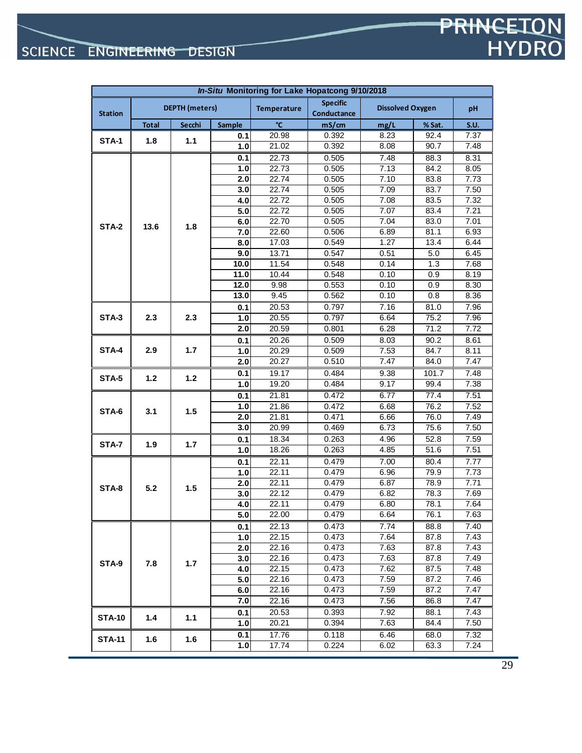| In-Situ Monitoring for Lake Hopatcong 9/10/2018 |              |                       |            |                    |                                |                         |              |              |
|-------------------------------------------------|--------------|-----------------------|------------|--------------------|--------------------------------|-------------------------|--------------|--------------|
| <b>Station</b>                                  |              | <b>DEPTH</b> (meters) |            | <b>Temperature</b> | <b>Specific</b><br>Conductance | <b>Dissolved Oxygen</b> |              | pH           |
|                                                 | <b>Total</b> | <b>Secchi</b>         | Sample     | °C                 | mS/cm                          | mg/L                    | % Sat.       | <b>S.U.</b>  |
| STA-1                                           | 1.8          | 1.1                   | 0.1        | 20.98              | 0.392                          | 8.23                    | 92.4         | 7.37         |
|                                                 |              |                       | 1.0        | 21.02              | 0.392                          | 8.08                    | 90.7         | 7.48         |
|                                                 |              |                       | 0.1        | 22.73              | 0.505                          | 7.48                    | 88.3         | 8.31         |
|                                                 |              |                       | 1.0        | 22.73              | 0.505                          | 7.13                    | 84.2         | 8.05         |
|                                                 |              |                       | 2.0        | 22.74              | 0.505                          | 7.10                    | 83.8         | 7.73         |
|                                                 |              |                       | 3.0        | 22.74              | 0.505                          | 7.09                    | 83.7         | 7.50         |
|                                                 |              |                       | 4.0        | 22.72              | 0.505                          | 7.08                    | 83.5         | 7.32         |
|                                                 |              |                       | 5.0        | 22.72              | 0.505                          | 7.07                    | 83.4         | 7.21         |
| STA-2                                           | 13.6         | 1.8                   | 6.0        | 22.70              | 0.505                          | 7.04                    | 83.0         | 7.01         |
|                                                 |              |                       | 7.0        | 22.60              | 0.506                          | 6.89                    | 81.1         | 6.93         |
|                                                 |              |                       | 8.0        | 17.03              | 0.549                          | 1.27                    | 13.4         | 6.44         |
|                                                 |              |                       | 9.0        | 13.71              | 0.547                          | 0.51                    | 5.0          | 6.45         |
|                                                 |              |                       | 10.0       | 11.54              | 0.548                          | 0.14                    | 1.3          | 7.68         |
|                                                 |              |                       | 11.0       | 10.44              | 0.548                          | 0.10                    | 0.9          | 8.19         |
|                                                 |              |                       | 12.0       | 9.98               | 0.553                          | 0.10                    | 0.9          | 8.30         |
|                                                 |              |                       | 13.0       | 9.45               | 0.562                          | 0.10                    | 0.8          | 8.36         |
|                                                 |              |                       | 0.1        | 20.53              | 0.797                          | 7.16                    | 81.0         | 7.96         |
| STA-3                                           | 2.3          | 2.3                   | 7.0        | 20.55              | 0.797                          | 6.64                    | 75.2         | 7.96         |
|                                                 |              |                       | 2.0        | 20.59              | 0.801                          | 6.28                    | 71.2         | 7.72         |
|                                                 |              | 1.7                   | 0.1        | 20.26              | 0.509                          | 8.03                    | 90.2         | 8.61         |
| STA-4                                           | 2.9          |                       | 1.0        | 20.29              | 0.509                          | 7.53                    | 84.7         | 8.11         |
|                                                 |              |                       | 2.0        | 20.27              | 0.510                          | 7.47                    | 84.0         | 7.47         |
| STA-5                                           | 1.2          | 1.2                   | 0.1        | 19.17              | 0.484                          | 9.38                    | 101.7        | 7.48         |
|                                                 |              |                       | 1.0        | 19.20              | 0.484                          | 9.17                    | 99.4         | 7.38         |
|                                                 |              | 1.5                   | 0.1        | 21.81              | 0.472                          | 6.77                    | 77.4         | 7.51         |
| STA-6                                           | 3.1          |                       | 1.0        | 21.86              | 0.472                          | 6.68                    | 76.2         | 7.52         |
|                                                 |              |                       | 2.0        | 21.81              | 0.471                          | 6.66                    | 76.0         | 7.49         |
|                                                 |              |                       | 3.0        | 20.99              | 0.469                          | 6.73                    | 75.6         | 7.50         |
| STA-7                                           | 1.9          | 1.7                   | 0.1        | 18.34              | 0.263                          | 4.96                    | 52.8         | 7.59         |
|                                                 |              |                       | 1.0        | 18.26              | 0.263                          | 4.85                    | 51.6         | 7.51         |
|                                                 |              |                       | 0.1        | 22.11              | 0.479                          | 7.00                    | 80.4         | 7.77         |
|                                                 |              |                       | 1.0        | 22.11              | 0.479                          | 6.96                    | 79.9         | 7.73         |
| STA-8                                           | 5.2          | 1.5                   | 2.0        | 22.11              | 0.479                          | 6.87                    | 78.9         | 7.71         |
|                                                 |              |                       | 3.0        | 22.12              | 0.479                          | 6.82                    | 78.3         | 7.69         |
|                                                 |              |                       | 4.0        | 22.11              | 0.479                          | 6.80                    | 78.1         | 7.64         |
|                                                 |              |                       | 5.0        | 22.00              | 0.479                          | 6.64                    | 76.1         | 7.63         |
|                                                 |              |                       | 0.1        | 22.13              | 0.473                          | 7.74                    | 88.8         | 7.40         |
|                                                 |              |                       | 1.0        | 22.15              | 0.473                          | 7.64                    | 87.8         | 7.43         |
|                                                 |              |                       | 2.0        | 22.16              | 0.473                          | 7.63                    | 87.8         | 7.43         |
| STA-9                                           | 7.8          | 1.7                   | 3.0        | 22.16              | 0.473                          | 7.63                    | 87.8         | 7.49         |
|                                                 |              |                       | 4.0        | 22.15              | 0.473                          | 7.62                    | 87.5         | 7.48         |
|                                                 |              |                       | 5.0        | 22.16<br>22.16     | 0.473<br>0.473                 | 7.59                    | 87.2<br>87.2 | 7.46<br>7.47 |
|                                                 |              |                       | 6.0<br>7.0 | 22.16              | 0.473                          | 7.59<br>7.56            | 86.8         | 7.47         |
|                                                 |              |                       |            |                    |                                |                         |              |              |
| <b>STA-10</b>                                   | 1.4          | 1.1                   | 0.1        | 20.53              | 0.393                          | 7.92                    | 88.1         | 7.43         |
|                                                 |              |                       | 1.0        | 20.21              | 0.394                          | 7.63                    | 84.4         | 7.50         |
| <b>STA-11</b>                                   | 1.6          | 1.6                   | 0.1        | 17.76              | 0.118                          | 6.46                    | 68.0         | 7.32         |
|                                                 |              |                       | 1.0        | 17.74              | 0.224                          | 6.02                    | 63.3         | 7.24         |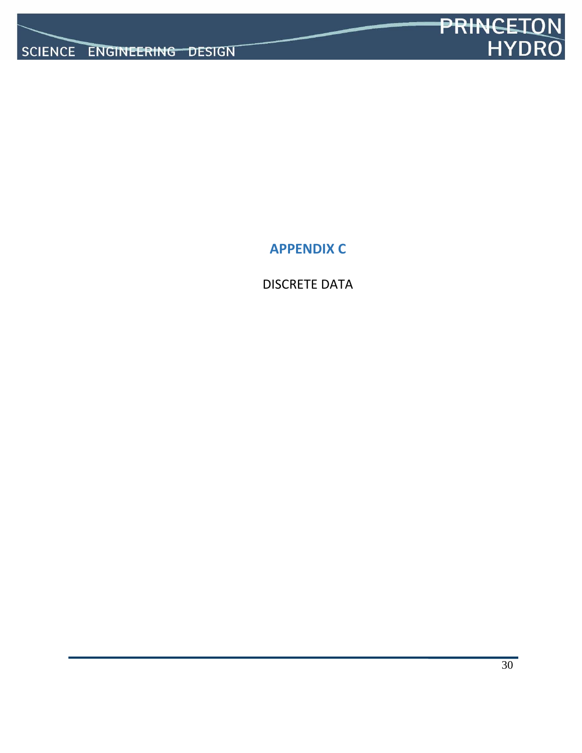

**APPENDIX C**

DISCRETE DATA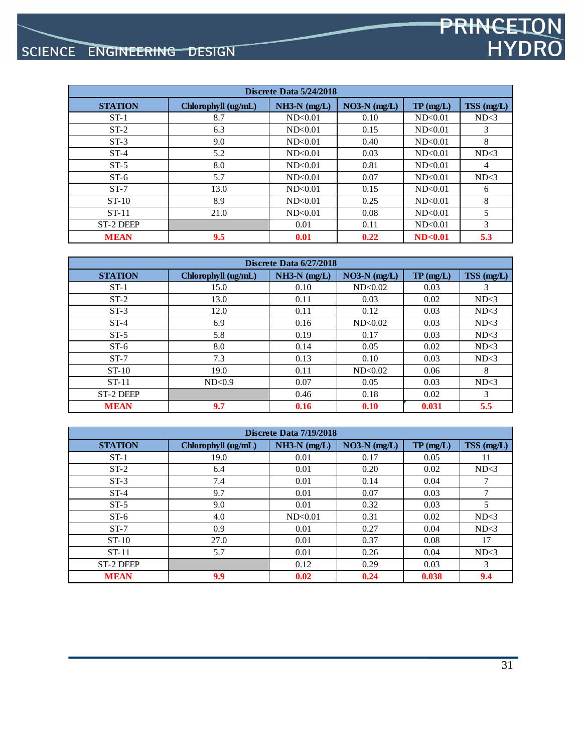# SCIENCE ENGINEERING DESIGN

| Discrete Data 5/24/2018 |                     |                |                |           |              |  |  |  |  |
|-------------------------|---------------------|----------------|----------------|-----------|--------------|--|--|--|--|
| <b>STATION</b>          | Chlorophyll (ug/mL) | $NH3-N$ (mg/L) | $NO3-N$ (mg/L) | TP(mg/L)  | $TSS$ (mg/L) |  |  |  |  |
| $ST-1$                  | 8.7                 | ND<0.01        | 0.10           | ND < 0.01 | ND<3         |  |  |  |  |
| $ST-2$                  | 6.3                 | ND<0.01        | 0.15           | ND<0.01   | 3            |  |  |  |  |
| $ST-3$                  | 9.0                 | ND<0.01        | 0.40           | ND<0.01   | 8            |  |  |  |  |
| $ST-4$                  | 5.2                 | ND<0.01        | 0.03           | ND<0.01   | ND<3         |  |  |  |  |
| $ST-5$                  | 8.0                 | ND<0.01        | 0.81           | ND<0.01   | 4            |  |  |  |  |
| $ST-6$                  | 5.7                 | ND<0.01        | 0.07           | ND<0.01   | ND<3         |  |  |  |  |
| $ST-7$                  | 13.0                | ND<0.01        | 0.15           | ND<0.01   | 6            |  |  |  |  |
| $ST-10$                 | 8.9                 | ND<0.01        | 0.25           | ND<0.01   | 8            |  |  |  |  |
| $ST-11$                 | 21.0                | ND < 0.01      | 0.08           | ND<0.01   | 5            |  |  |  |  |
| ST-2 DEEP               |                     | 0.01           | 0.11           | ND<0.01   | 3            |  |  |  |  |
| <b>MEAN</b>             | 9.5                 | 0.01           | 0.22           | ND<0.01   | 5.3          |  |  |  |  |

| Discrete Data 6/27/2018 |                     |                |                |          |            |  |  |  |  |
|-------------------------|---------------------|----------------|----------------|----------|------------|--|--|--|--|
| <b>STATION</b>          | Chlorophyll (ug/mL) | $NH3-N$ (mg/L) | $NO3-N$ (mg/L) | TP(mg/L) | TSS (mg/L) |  |  |  |  |
| $ST-1$                  | 15.0                | 0.10           | ND<0.02        | 0.03     | 3          |  |  |  |  |
| $ST-2$                  | 13.0                | 0.11           | 0.03           | 0.02     | ND<3       |  |  |  |  |
| $ST-3$                  | 12.0                | 0.11           | 0.12           | 0.03     | ND<3       |  |  |  |  |
| $ST-4$                  | 6.9                 | 0.16           | ND<0.02        | 0.03     | ND<3       |  |  |  |  |
| $ST-5$                  | 5.8                 | 0.19           | 0.17           | 0.03     | ND<3       |  |  |  |  |
| $ST-6$                  | 8.0                 | 0.14           | 0.05           | 0.02     | ND<3       |  |  |  |  |
| $ST-7$                  | 7.3                 | 0.13           | 0.10           | 0.03     | ND<3       |  |  |  |  |
| $ST-10$                 | 19.0                | 0.11           | ND<0.02        | 0.06     | 8          |  |  |  |  |
| $ST-11$                 | ND<0.9              | 0.07           | 0.05           | 0.03     | ND<3       |  |  |  |  |
| ST-2 DEEP               |                     | 0.46           | 0.18           | 0.02     | 3          |  |  |  |  |
| <b>MEAN</b>             | 9.7                 | 0.16           | 0.10           | 0.031    | 5.5        |  |  |  |  |

| Discrete Data 7/19/2018 |                     |                |                |          |            |  |  |  |  |
|-------------------------|---------------------|----------------|----------------|----------|------------|--|--|--|--|
| <b>STATION</b>          | Chlorophyll (ug/mL) | $NH3-N$ (mg/L) | $NO3-N$ (mg/L) | TP(mg/L) | TSS (mg/L) |  |  |  |  |
| $ST-1$                  | 19.0                | 0.01           | 0.17           | 0.05     | 11         |  |  |  |  |
| $ST-2$                  | 6.4                 | 0.01           | 0.20           | 0.02     | ND<3       |  |  |  |  |
| $ST-3$                  | 7.4                 | 0.01           | 0.14           | 0.04     | 7          |  |  |  |  |
| $ST-4$                  | 9.7                 | 0.01           | 0.07           | 0.03     | 7          |  |  |  |  |
| $ST-5$                  | 9.0                 | 0.01           | 0.32           | 0.03     | 5          |  |  |  |  |
| $ST-6$                  | 4.0                 | ND<0.01        | 0.31           | 0.02     | ND<3       |  |  |  |  |
| $ST-7$                  | 0.9                 | 0.01           | 0.27           | 0.04     | ND<3       |  |  |  |  |
| $ST-10$                 | 27.0                | 0.01           | 0.37           | 0.08     | 17         |  |  |  |  |
| $ST-11$                 | 5.7                 | 0.01           | 0.26           | 0.04     | ND<3       |  |  |  |  |
| ST-2 DEEP               |                     | 0.12           | 0.29           | 0.03     | 3          |  |  |  |  |
| <b>MEAN</b>             | 9.9                 | 0.02           | 0.24           | 0.038    | 9.4        |  |  |  |  |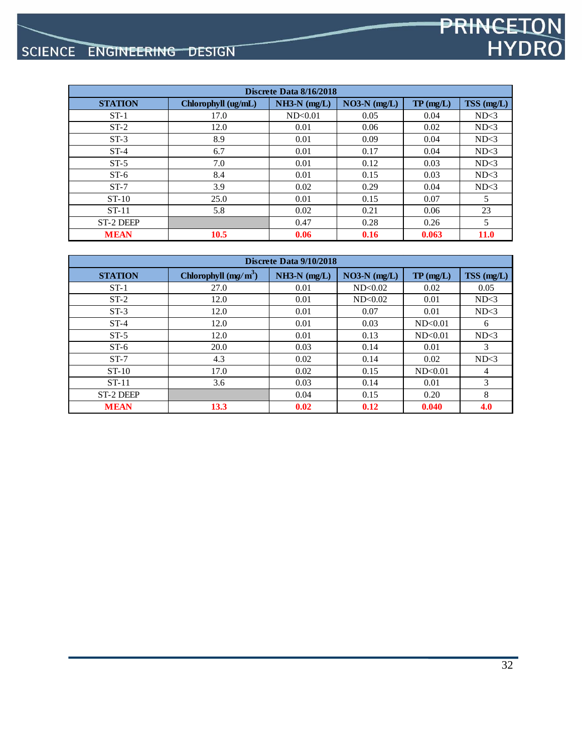# SCIENCE ENGINEERING DESIGN

| Discrete Data 8/16/2018 |                     |                |                |          |             |  |  |  |  |
|-------------------------|---------------------|----------------|----------------|----------|-------------|--|--|--|--|
| <b>STATION</b>          | Chlorophyll (ug/mL) | $NH3-N$ (mg/L) | $NO3-N$ (mg/L) | TP(mg/L) | TSS (mg/L)  |  |  |  |  |
| $ST-1$                  | 17.0                | ND<0.01        | 0.05           | 0.04     | ND<3        |  |  |  |  |
| $ST-2$                  | 12.0                | 0.01           | 0.06           | 0.02     | ND<3        |  |  |  |  |
| $ST-3$                  | 8.9                 | 0.01           | 0.09           | 0.04     | ND<3        |  |  |  |  |
| $ST-4$                  | 6.7                 | 0.01           | 0.17           | 0.04     | ND<3        |  |  |  |  |
| $ST-5$                  | 7.0                 | 0.01           | 0.12           | 0.03     | ND<3        |  |  |  |  |
| $ST-6$                  | 8.4                 | 0.01           | 0.15           | 0.03     | ND<3        |  |  |  |  |
| $ST-7$                  | 3.9                 | 0.02           | 0.29           | 0.04     | ND<3        |  |  |  |  |
| $ST-10$                 | 25.0                | 0.01           | 0.15           | 0.07     | 5           |  |  |  |  |
| $ST-11$                 | 5.8                 | 0.02           | 0.21           | 0.06     | 23          |  |  |  |  |
| ST-2 DEEP               |                     | 0.47           | 0.28           | 0.26     | 5           |  |  |  |  |
| <b>MEAN</b>             | 10.5                | 0.06           | 0.16           | 0.063    | <b>11.0</b> |  |  |  |  |

| Discrete Data 9/10/2018 |                        |                |                |          |                |  |  |  |  |
|-------------------------|------------------------|----------------|----------------|----------|----------------|--|--|--|--|
| <b>STATION</b>          | Chlorophyll $(mg/m^3)$ | $NH3-N$ (mg/L) | $NO3-N$ (mg/L) | TP(mg/L) | $TSS$ (mg/L)   |  |  |  |  |
| $ST-1$                  | 27.0                   | 0.01           | ND<0.02        | 0.02     | 0.05           |  |  |  |  |
| $ST-2$                  | 12.0                   | 0.01           | ND<0.02        | 0.01     | ND<3           |  |  |  |  |
| $ST-3$                  | 12.0                   | 0.01           | 0.07           | 0.01     | ND<3           |  |  |  |  |
| $ST-4$                  | 12.0                   | 0.01           | 0.03           | ND<0.01  | 6              |  |  |  |  |
| $ST-5$                  | 12.0                   | 0.01           | 0.13           | ND<0.01  | ND<3           |  |  |  |  |
| $ST-6$                  | 20.0                   | 0.03           | 0.14           | 0.01     | 3              |  |  |  |  |
| $ST-7$                  | 4.3                    | 0.02           | 0.14           | 0.02     | ND<3           |  |  |  |  |
| $ST-10$                 | 17.0                   | 0.02           | 0.15           | ND<0.01  | $\overline{4}$ |  |  |  |  |
| $ST-11$                 | 3.6                    | 0.03           | 0.14           | 0.01     | 3              |  |  |  |  |
| <b>ST-2 DEEP</b>        |                        | 0.04           | 0.15           | 0.20     | 8              |  |  |  |  |
| <b>MEAN</b>             | 13.3                   | 0.02           | 0.12           | 0.040    | 4.0            |  |  |  |  |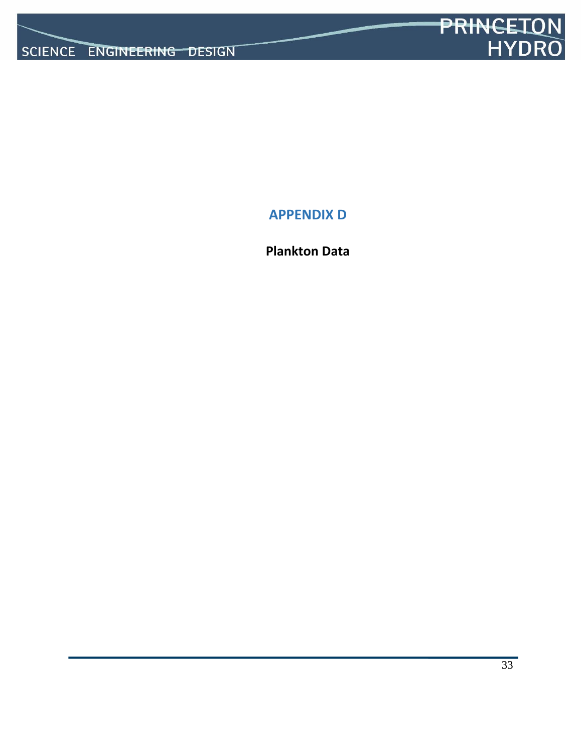

**APPENDIX D**

**Plankton Data**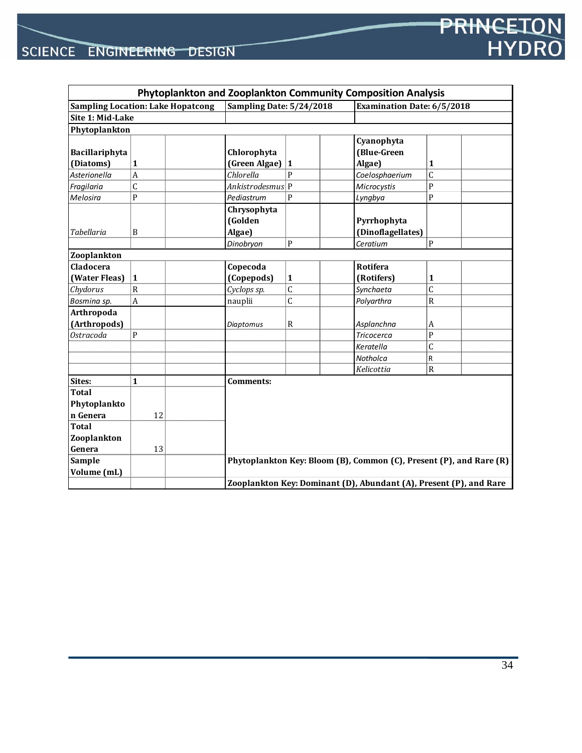|                                          |                  |  |                                                                    |                |  | Phytoplankton and Zooplankton Community Composition Analysis |                                                                     |  |  |
|------------------------------------------|------------------|--|--------------------------------------------------------------------|----------------|--|--------------------------------------------------------------|---------------------------------------------------------------------|--|--|
| <b>Sampling Location: Lake Hopatcong</b> |                  |  | Sampling Date: 5/24/2018                                           |                |  | <b>Examination Date: 6/5/2018</b>                            |                                                                     |  |  |
|                                          | Site 1: Mid-Lake |  |                                                                    |                |  |                                                              |                                                                     |  |  |
| Phytoplankton                            |                  |  |                                                                    |                |  |                                                              |                                                                     |  |  |
|                                          |                  |  |                                                                    |                |  | Cyanophyta                                                   |                                                                     |  |  |
| Bacillariphyta                           |                  |  | Chlorophyta                                                        |                |  | (Blue-Green                                                  |                                                                     |  |  |
| (Diatoms)                                | $\mathbf{1}$     |  | (Green Algae)                                                      | 1              |  | Algae)                                                       | 1                                                                   |  |  |
| Asterionella                             | $\boldsymbol{A}$ |  | Chlorella                                                          | $\mathbf{p}$   |  | Coelosphaerium                                               | C                                                                   |  |  |
| Fragilaria                               | $\mathsf{C}$     |  | Ankistrodesmus P                                                   |                |  | Microcystis                                                  | P                                                                   |  |  |
| Melosira                                 | $\mathbf{P}$     |  | Pediastrum                                                         | P              |  | Lyngbya                                                      | P                                                                   |  |  |
|                                          |                  |  | Chrysophyta                                                        |                |  |                                                              |                                                                     |  |  |
|                                          |                  |  | (Golden                                                            |                |  | Pyrrhophyta                                                  |                                                                     |  |  |
| <b>Tabellaria</b>                        | B                |  | Algae)                                                             |                |  | (Dinoflagellates)                                            |                                                                     |  |  |
|                                          |                  |  | Dinobryon                                                          | P              |  | Ceratium                                                     | P                                                                   |  |  |
| Zooplankton                              |                  |  |                                                                    |                |  |                                                              |                                                                     |  |  |
| Cladocera                                |                  |  | Copecoda                                                           |                |  | Rotifera                                                     |                                                                     |  |  |
| (Water Fleas)                            | $\mathbf{1}$     |  | (Copepods)                                                         | $\mathbf{1}$   |  | (Rotifers)                                                   | 1                                                                   |  |  |
| Chydorus                                 | $\mathsf{R}$     |  | Cyclops sp.                                                        | $\overline{C}$ |  | Synchaeta                                                    | C                                                                   |  |  |
| Bosmina sp.                              | $\overline{A}$   |  | nauplii                                                            | $\mathsf{C}$   |  | Polyarthra                                                   | R                                                                   |  |  |
| Arthropoda                               |                  |  |                                                                    |                |  |                                                              |                                                                     |  |  |
| (Arthropods)                             |                  |  | <b>Diaptomus</b>                                                   | $\mathbb{R}$   |  | Asplanchna                                                   | A                                                                   |  |  |
| Ostracoda                                | $\mathsf{P}$     |  |                                                                    |                |  | <b>Tricocerca</b>                                            | P                                                                   |  |  |
|                                          |                  |  |                                                                    |                |  | Keratella                                                    | C                                                                   |  |  |
|                                          |                  |  |                                                                    |                |  | Notholca                                                     | R                                                                   |  |  |
|                                          |                  |  |                                                                    |                |  | Kelicottia                                                   | R                                                                   |  |  |
| Sites:                                   | $\mathbf{1}$     |  | Comments:                                                          |                |  |                                                              |                                                                     |  |  |
| <b>Total</b>                             |                  |  |                                                                    |                |  |                                                              |                                                                     |  |  |
| Phytoplankto                             |                  |  |                                                                    |                |  |                                                              |                                                                     |  |  |
| n Genera                                 | 12               |  |                                                                    |                |  |                                                              |                                                                     |  |  |
| <b>Total</b>                             |                  |  |                                                                    |                |  |                                                              |                                                                     |  |  |
| Zooplankton                              |                  |  |                                                                    |                |  |                                                              |                                                                     |  |  |
| Genera                                   | 13               |  |                                                                    |                |  |                                                              |                                                                     |  |  |
| Sample                                   |                  |  |                                                                    |                |  |                                                              | Phytoplankton Key: Bloom (B), Common (C), Present (P), and Rare (R) |  |  |
| Volume (mL)                              |                  |  |                                                                    |                |  |                                                              |                                                                     |  |  |
|                                          |                  |  | Zooplankton Key: Dominant (D), Abundant (A), Present (P), and Rare |                |  |                                                              |                                                                     |  |  |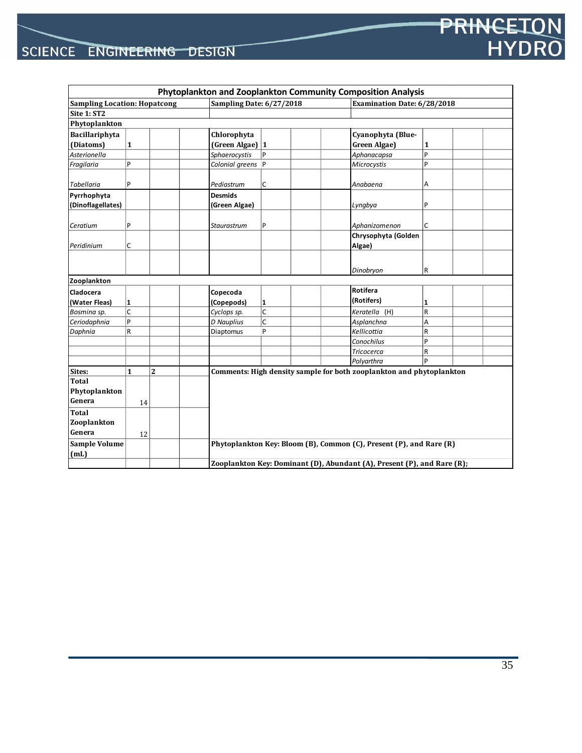|                                     |              |                |                          |                                                                         | Phytoplankton and Zooplankton Community Composition Analysis         |                             |  |  |  |
|-------------------------------------|--------------|----------------|--------------------------|-------------------------------------------------------------------------|----------------------------------------------------------------------|-----------------------------|--|--|--|
| <b>Sampling Location: Hopatcong</b> |              |                | Sampling Date: 6/27/2018 |                                                                         |                                                                      | Examination Date: 6/28/2018 |  |  |  |
| Site 1: ST2                         |              |                |                          |                                                                         |                                                                      |                             |  |  |  |
| Phytoplankton                       |              |                |                          |                                                                         |                                                                      |                             |  |  |  |
| Bacillariphyta                      |              |                | Chlorophyta              |                                                                         | Cyanophyta (Blue-                                                    |                             |  |  |  |
| (Diatoms)                           | $\mathbf{1}$ |                | (Green Algae) 1          |                                                                         | Green Algae)                                                         | $\mathbf{1}$                |  |  |  |
| Asterionella                        |              |                | Sphaerocystis            | P                                                                       | Aphanacapsa                                                          | $\mathsf{P}$                |  |  |  |
| Fragilaria                          | P            |                | Colonial greens P        |                                                                         | Microcystis                                                          | P                           |  |  |  |
| <b>Tabellaria</b>                   | P            |                | Pediastrum               | C                                                                       | Anabaena                                                             | Α                           |  |  |  |
| Pyrrhophyta                         |              |                | <b>Desmids</b>           |                                                                         |                                                                      |                             |  |  |  |
| (Dinoflagellates)                   |              |                | (Green Algae)            |                                                                         | Lyngbya                                                              | P                           |  |  |  |
| Ceratium                            | P            |                | Staurastrum              | P                                                                       | Aphanizomenon                                                        | C                           |  |  |  |
|                                     |              |                |                          |                                                                         | Chrysophyta (Golden                                                  |                             |  |  |  |
| Peridinium                          | C            |                |                          |                                                                         | Algae)                                                               |                             |  |  |  |
|                                     |              |                |                          |                                                                         |                                                                      |                             |  |  |  |
|                                     |              |                |                          |                                                                         | Dinobryon                                                            | R                           |  |  |  |
| Zooplankton                         |              |                |                          |                                                                         |                                                                      |                             |  |  |  |
| Cladocera                           |              |                | Copecoda                 |                                                                         | Rotifera                                                             |                             |  |  |  |
| (Water Fleas)                       | 1            |                | (Copepods)               | 1                                                                       | (Rotifers)                                                           | 1                           |  |  |  |
| Bosmina sp.                         | Ċ            |                | Cyclops sp.              | C                                                                       | Keratella (H)                                                        | $\overline{\mathsf{R}}$     |  |  |  |
| Ceriodaphnia                        | P            |                | D Nauplius               | C                                                                       | Asplanchna                                                           | lA.                         |  |  |  |
| Daphnia                             | R            |                | Diaptomus                | P                                                                       | Kellicottia                                                          | R                           |  |  |  |
|                                     |              |                |                          |                                                                         | Conochilus                                                           | $\mathsf{P}$                |  |  |  |
|                                     |              |                |                          |                                                                         | <b>Tricocerca</b>                                                    | $\mathsf R$                 |  |  |  |
|                                     |              |                |                          |                                                                         | Polyarthra                                                           | p                           |  |  |  |
| Sites:                              | $\mathbf{1}$ | $\overline{2}$ |                          |                                                                         | Comments: High density sample for both zooplankton and phytoplankton |                             |  |  |  |
| <b>Total</b>                        |              |                |                          |                                                                         |                                                                      |                             |  |  |  |
| Phytoplankton                       |              |                |                          |                                                                         |                                                                      |                             |  |  |  |
| Genera                              | 14           |                |                          |                                                                         |                                                                      |                             |  |  |  |
| <b>Total</b>                        |              |                |                          |                                                                         |                                                                      |                             |  |  |  |
| Zooplankton                         |              |                |                          |                                                                         |                                                                      |                             |  |  |  |
| Genera                              | 12           |                |                          |                                                                         |                                                                      |                             |  |  |  |
| <b>Sample Volume</b>                |              |                |                          |                                                                         | Phytoplankton Key: Bloom (B), Common (C), Present (P), and Rare (R)  |                             |  |  |  |
| (mL)                                |              |                |                          |                                                                         |                                                                      |                             |  |  |  |
|                                     |              |                |                          | Zooplankton Key: Dominant (D), Abundant (A), Present (P), and Rare (R); |                                                                      |                             |  |  |  |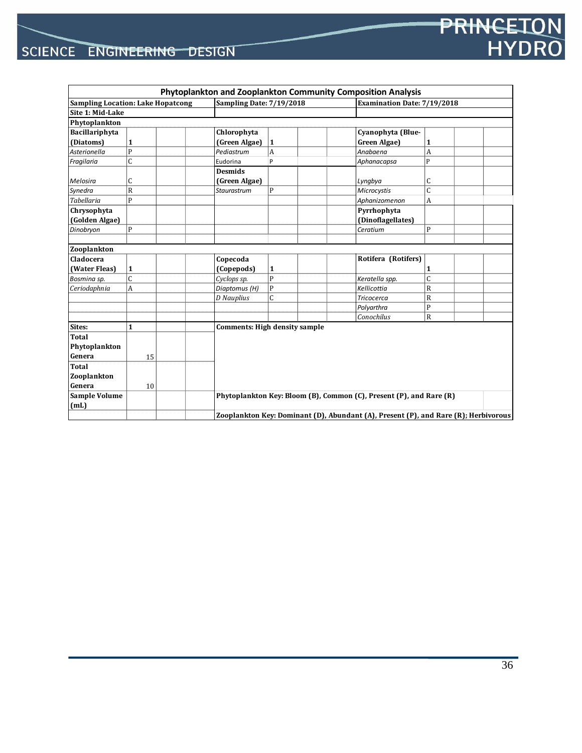|                   |                                          |                          |                                                                                     | Phytoplankton and Zooplankton Community Composition Analysis        |                             |  |  |  |
|-------------------|------------------------------------------|--------------------------|-------------------------------------------------------------------------------------|---------------------------------------------------------------------|-----------------------------|--|--|--|
|                   | <b>Sampling Location: Lake Hopatcong</b> | Sampling Date: 7/19/2018 |                                                                                     |                                                                     | Examination Date: 7/19/2018 |  |  |  |
| Site 1: Mid-Lake  |                                          |                          |                                                                                     |                                                                     |                             |  |  |  |
| Phytoplankton     |                                          |                          |                                                                                     |                                                                     |                             |  |  |  |
| Bacillariphyta    |                                          | Chlorophyta              |                                                                                     | Cyanophyta (Blue-                                                   |                             |  |  |  |
| (Diatoms)         | $\mathbf{1}$                             | (Green Algae)            | $\mathbf{1}$                                                                        | Green Algae)                                                        | 1                           |  |  |  |
| Asterionella      | P                                        | Pediastrum               | A                                                                                   | Anabaena                                                            | A                           |  |  |  |
| Fragilaria        | $\mathsf C$                              | Eudorina                 | P                                                                                   | Aphanacapsa                                                         | P                           |  |  |  |
|                   |                                          | <b>Desmids</b>           |                                                                                     |                                                                     |                             |  |  |  |
| Melosira          | $\mathsf{C}$                             | (Green Algae)            |                                                                                     | Lyngbya                                                             | C                           |  |  |  |
| Synedra           | $\mathbb{R}$                             | Staurastrum              | $\mathbf{P}$                                                                        | Microcystis                                                         | $\mathsf{C}$                |  |  |  |
| <b>Tabellaria</b> | $\mathsf{P}$                             |                          |                                                                                     | Aphanizomenon                                                       | A                           |  |  |  |
| Chrysophyta       |                                          |                          |                                                                                     | Pyrrhophyta                                                         |                             |  |  |  |
| (Golden Algae)    |                                          |                          |                                                                                     | (Dinoflagellates)                                                   |                             |  |  |  |
| Dinobryon         | $\overline{P}$                           |                          |                                                                                     | Ceratium                                                            | P                           |  |  |  |
|                   |                                          |                          |                                                                                     |                                                                     |                             |  |  |  |
| Zooplankton       |                                          |                          |                                                                                     |                                                                     |                             |  |  |  |
| Cladocera         |                                          | Copecoda                 |                                                                                     | Rotifera (Rotifers)                                                 |                             |  |  |  |
| (Water Fleas)     | $\mathbf{1}$                             | (Copepods)               | 1                                                                                   |                                                                     | 1                           |  |  |  |
| Bosmina sp.       | $\overline{C}$                           | Cyclops sp.              | $\mathsf{P}$                                                                        | Keratella spp.                                                      | $\mathsf{C}$                |  |  |  |
| Ceriodaphnia      | $\overline{A}$                           | Diaptomus (H)            | $\mathbf{P}$                                                                        | Kellicottia                                                         | R                           |  |  |  |
|                   |                                          | <b>D</b> Nauplius        | C                                                                                   | <b>Tricocerca</b>                                                   | R                           |  |  |  |
|                   |                                          |                          |                                                                                     | Polyarthra                                                          | P                           |  |  |  |
|                   |                                          |                          |                                                                                     | Conochilus                                                          | $\overline{R}$              |  |  |  |
| Sites:            | $\mathbf{1}$                             |                          | <b>Comments: High density sample</b>                                                |                                                                     |                             |  |  |  |
| <b>Total</b>      |                                          |                          |                                                                                     |                                                                     |                             |  |  |  |
| Phytoplankton     |                                          |                          |                                                                                     |                                                                     |                             |  |  |  |
| Genera            | 15                                       |                          |                                                                                     |                                                                     |                             |  |  |  |
| Total             |                                          |                          |                                                                                     |                                                                     |                             |  |  |  |
| Zooplankton       |                                          |                          |                                                                                     |                                                                     |                             |  |  |  |
| Genera            | 10                                       |                          |                                                                                     |                                                                     |                             |  |  |  |
| Sample Volume     |                                          |                          |                                                                                     | Phytoplankton Key: Bloom (B), Common (C), Present (P), and Rare (R) |                             |  |  |  |
| (mL)              |                                          |                          |                                                                                     |                                                                     |                             |  |  |  |
|                   |                                          |                          | Zooplankton Key: Dominant (D), Abundant (A), Present (P), and Rare (R); Herbivorous |                                                                     |                             |  |  |  |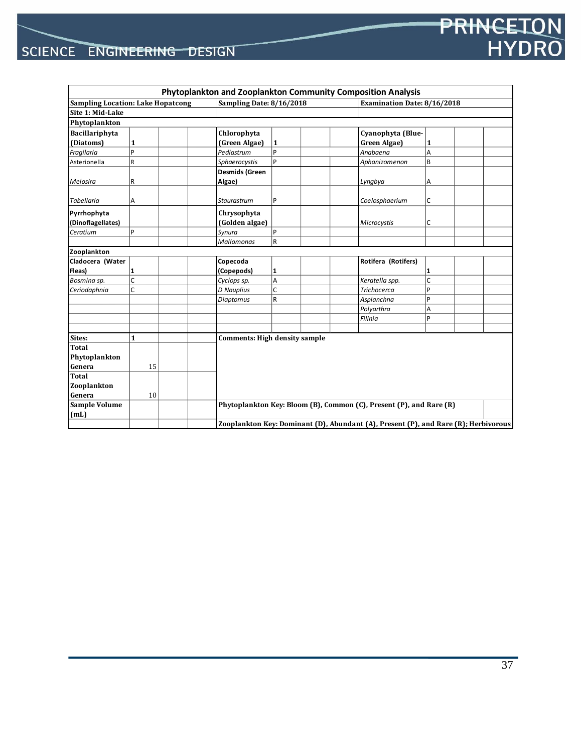|                                          |              |  |                                                                                     |                                      | Phytoplankton and Zooplankton Community Composition Analysis        |                             |  |  |  |
|------------------------------------------|--------------|--|-------------------------------------------------------------------------------------|--------------------------------------|---------------------------------------------------------------------|-----------------------------|--|--|--|
| <b>Sampling Location: Lake Hopatcong</b> |              |  | Sampling Date: 8/16/2018                                                            |                                      |                                                                     | Examination Date: 8/16/2018 |  |  |  |
| Site 1: Mid-Lake                         |              |  |                                                                                     |                                      |                                                                     |                             |  |  |  |
| Phytoplankton                            |              |  |                                                                                     |                                      |                                                                     |                             |  |  |  |
| Bacillariphyta                           |              |  | Chlorophyta                                                                         |                                      | Cyanophyta (Blue-                                                   |                             |  |  |  |
| (Diatoms)                                | 1            |  | (Green Algae)                                                                       | $\vert$ 1                            | Green Algae)                                                        | 1                           |  |  |  |
| Fragilaria                               | P            |  | Pediastrum                                                                          | P                                    | Anabaena                                                            | Α                           |  |  |  |
| Asterionella                             | R            |  | Sphaerocystis                                                                       | P                                    | Aphanizomenon                                                       | B                           |  |  |  |
|                                          |              |  | <b>Desmids (Green</b>                                                               |                                      |                                                                     |                             |  |  |  |
| Melosira                                 | R            |  | Algae)                                                                              |                                      | Lyngbya                                                             | А                           |  |  |  |
|                                          |              |  |                                                                                     |                                      |                                                                     |                             |  |  |  |
| <b>Tabellaria</b>                        | Α            |  | Staurastrum                                                                         | P                                    | Coelosphaerium                                                      | C                           |  |  |  |
| Pyrrhophyta                              |              |  | Chrysophyta                                                                         |                                      |                                                                     |                             |  |  |  |
| (Dinoflagellates)                        |              |  | (Golden algae)                                                                      |                                      | Microcystis                                                         | C                           |  |  |  |
| Ceratium                                 | P            |  | Synura                                                                              | $\overline{P}$                       |                                                                     |                             |  |  |  |
|                                          |              |  | <b>Mallomonas</b>                                                                   | $\overline{R}$                       |                                                                     |                             |  |  |  |
| Zooplankton                              |              |  |                                                                                     |                                      |                                                                     |                             |  |  |  |
| Cladocera (Water                         |              |  | Copecoda                                                                            |                                      | Rotifera (Rotifers)                                                 |                             |  |  |  |
| Fleas)                                   | 1            |  | (Copepods)                                                                          | 1                                    |                                                                     | 1                           |  |  |  |
| Bosmina sp.                              | C            |  | Cyclops sp.                                                                         | A                                    | Keratella spp.                                                      | C                           |  |  |  |
| Ceriodaphnia                             | lc.          |  | <b>D</b> Nauplius                                                                   | C                                    | <b>Trichocerca</b>                                                  | P                           |  |  |  |
|                                          |              |  | Diaptomus                                                                           | $\overline{R}$                       | Asplanchna                                                          | P                           |  |  |  |
|                                          |              |  |                                                                                     |                                      | Polyarthra                                                          | Α                           |  |  |  |
|                                          |              |  |                                                                                     |                                      | Filinia                                                             | p                           |  |  |  |
|                                          |              |  |                                                                                     |                                      |                                                                     |                             |  |  |  |
| Sites:                                   | $\mathbf{1}$ |  |                                                                                     | <b>Comments: High density sample</b> |                                                                     |                             |  |  |  |
| <b>Total</b>                             |              |  |                                                                                     |                                      |                                                                     |                             |  |  |  |
| Phytoplankton                            |              |  |                                                                                     |                                      |                                                                     |                             |  |  |  |
| Genera                                   | 15           |  |                                                                                     |                                      |                                                                     |                             |  |  |  |
| <b>Total</b>                             |              |  |                                                                                     |                                      |                                                                     |                             |  |  |  |
| Zooplankton                              |              |  |                                                                                     |                                      |                                                                     |                             |  |  |  |
| Genera                                   | 10           |  |                                                                                     |                                      |                                                                     |                             |  |  |  |
| Sample Volume                            |              |  |                                                                                     |                                      | Phytoplankton Key: Bloom (B), Common (C), Present (P), and Rare (R) |                             |  |  |  |
| (mL)                                     |              |  |                                                                                     |                                      |                                                                     |                             |  |  |  |
|                                          |              |  | Zooplankton Key: Dominant (D), Abundant (A), Present (P), and Rare (R); Herbivorous |                                      |                                                                     |                             |  |  |  |